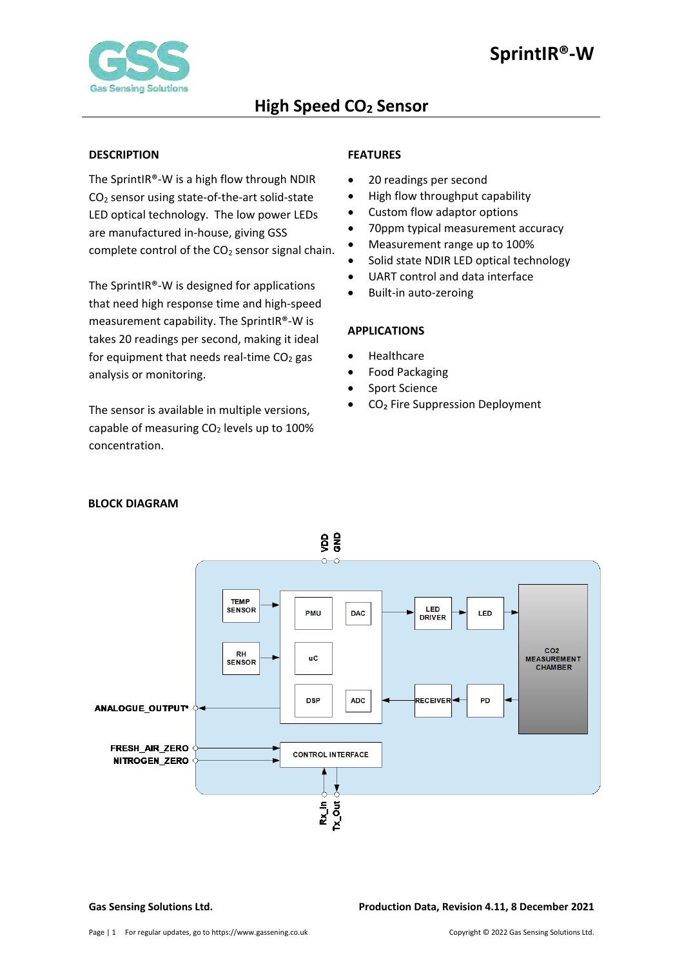

#### <span id="page-0-0"></span>**DESCRIPTION**

The SprintIR®-W is a high flow through NDIR CO2 sensor using state-of-the-art solid-state LED optical technology. The low power LEDs are manufactured in-house, giving GSS complete control of the  $CO<sub>2</sub>$  sensor signal chain.

The SprintIR®-W is designed for applications that need high response time and high-speed measurement capability. The SprintIR®-W is takes 20 readings per second, making it ideal for equipment that needs real-time  $CO<sub>2</sub>$  gas analysis or monitoring.

The sensor is available in multiple versions, capable of measuring  $CO<sub>2</sub>$  levels up to 100% concentration.

## <span id="page-0-1"></span>**FEATURES**

- 20 readings per second
- High flow throughput capability
- Custom flow adaptor options
- 70ppm typical measurement accuracy
- Measurement range up to 100%
- Solid state NDIR LED optical technology
- UART control and data interface
- Built-in auto-zeroing

#### <span id="page-0-2"></span>**APPLICATIONS**

- Healthcare
- Food Packaging
- Sport Science
- CO₂ Fire Suppression Deployment



### <span id="page-0-3"></span> **BLOCK DIAGRAM**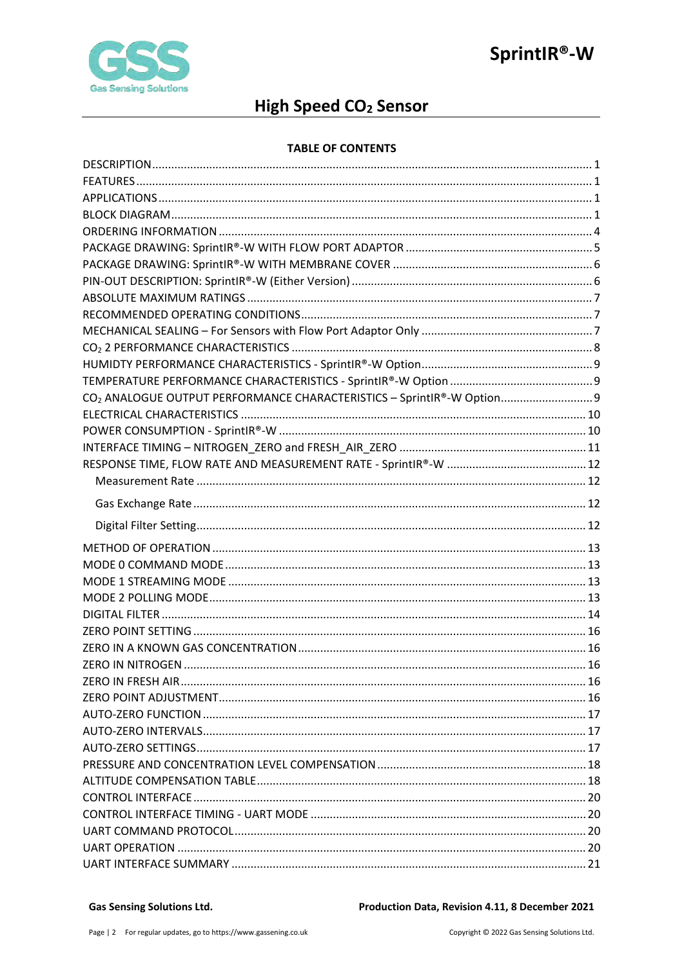

## High Speed CO<sub>2</sub> Sensor

### **TABLE OF CONTENTS**

| CO <sub>2</sub> ANALOGUE OUTPUT PERFORMANCE CHARACTERISTICS - SprintIR®-W Option 9 |  |
|------------------------------------------------------------------------------------|--|
|                                                                                    |  |
|                                                                                    |  |
|                                                                                    |  |
|                                                                                    |  |
|                                                                                    |  |
|                                                                                    |  |
|                                                                                    |  |
|                                                                                    |  |
|                                                                                    |  |
|                                                                                    |  |
|                                                                                    |  |
|                                                                                    |  |
|                                                                                    |  |
|                                                                                    |  |
|                                                                                    |  |
|                                                                                    |  |
|                                                                                    |  |
|                                                                                    |  |
|                                                                                    |  |
|                                                                                    |  |
|                                                                                    |  |
|                                                                                    |  |
|                                                                                    |  |
|                                                                                    |  |
|                                                                                    |  |
|                                                                                    |  |
|                                                                                    |  |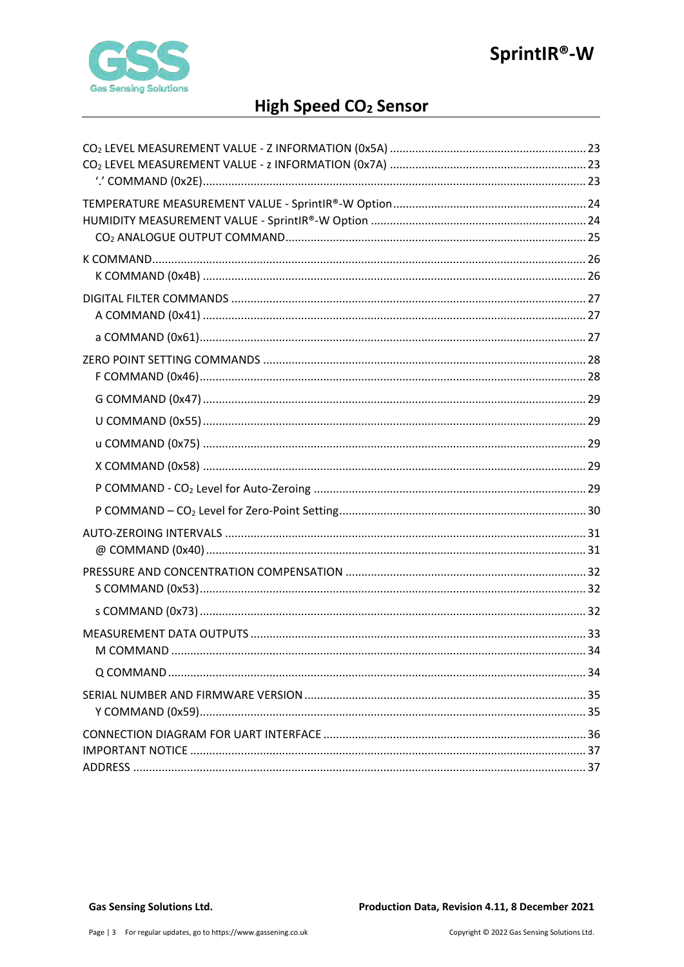

## High Speed CO<sub>2</sub> Sensor

| M COMMAND |
|-----------|
|           |
|           |
|           |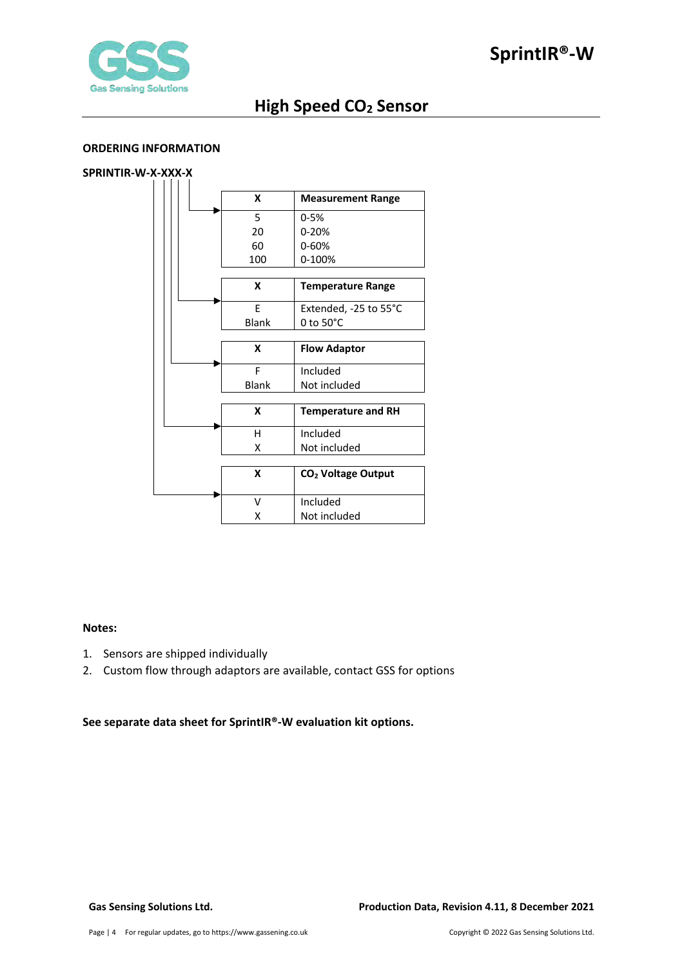

#### <span id="page-3-0"></span>**ORDERING INFORMATION**

## **SPRINTIR-W-X-XXX-X**

|  | X            | <b>Measurement Range</b>       |
|--|--------------|--------------------------------|
|  | 5            | $0 - 5%$                       |
|  | 20           | $0 - 20%$                      |
|  | 60           | 0-60%                          |
|  | 100          | 0-100%                         |
|  | X            | <b>Temperature Range</b>       |
|  | F            | Extended, -25 to 55°C          |
|  | <b>Blank</b> | $0$ to $50^{\circ}$ C          |
|  |              |                                |
|  | X            | <b>Flow Adaptor</b>            |
|  |              |                                |
|  | F            | Included                       |
|  | <b>Blank</b> | Not included                   |
|  | X            | <b>Temperature and RH</b>      |
|  | н            | Included                       |
|  | x            | Not included                   |
|  | X            | CO <sub>2</sub> Voltage Output |
|  | v            | Included                       |

#### **Notes:**

- 1. Sensors are shipped individually
- 2. Custom flow through adaptors are available, contact GSS for options

**See separate data sheet for SprintIR®-W evaluation kit options.**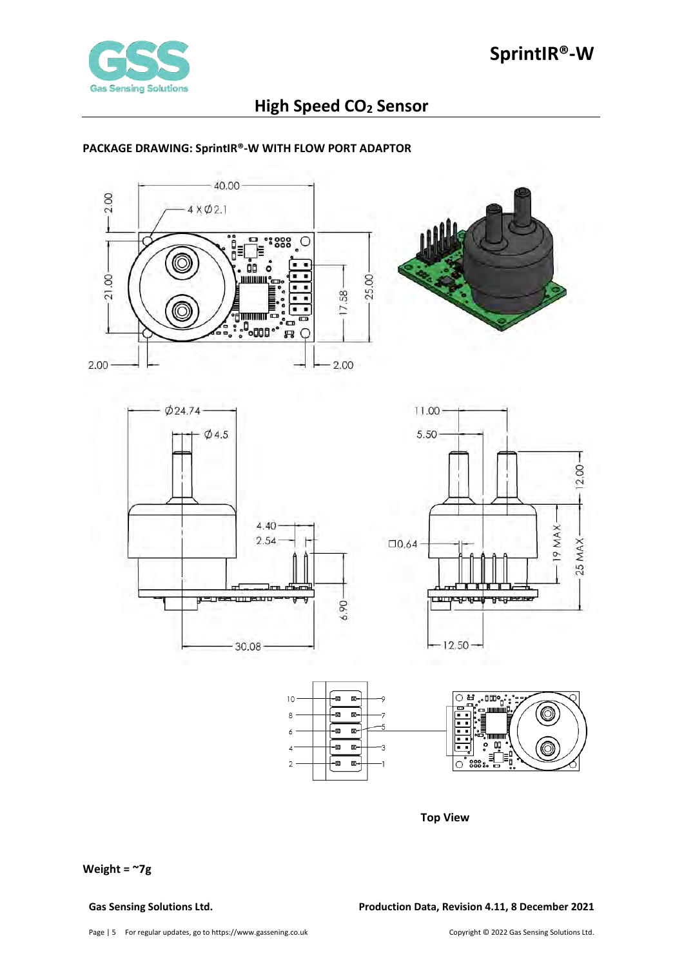

#### <span id="page-4-0"></span>**PACKAGE DRAWING: SprintIR®-W WITH FLOW PORT ADAPTOR**











**Top View**

**Weight = ~7g** 

**Gas Sensing Solutions Ltd. Production Data, Revision 4.11, 8 December 2021**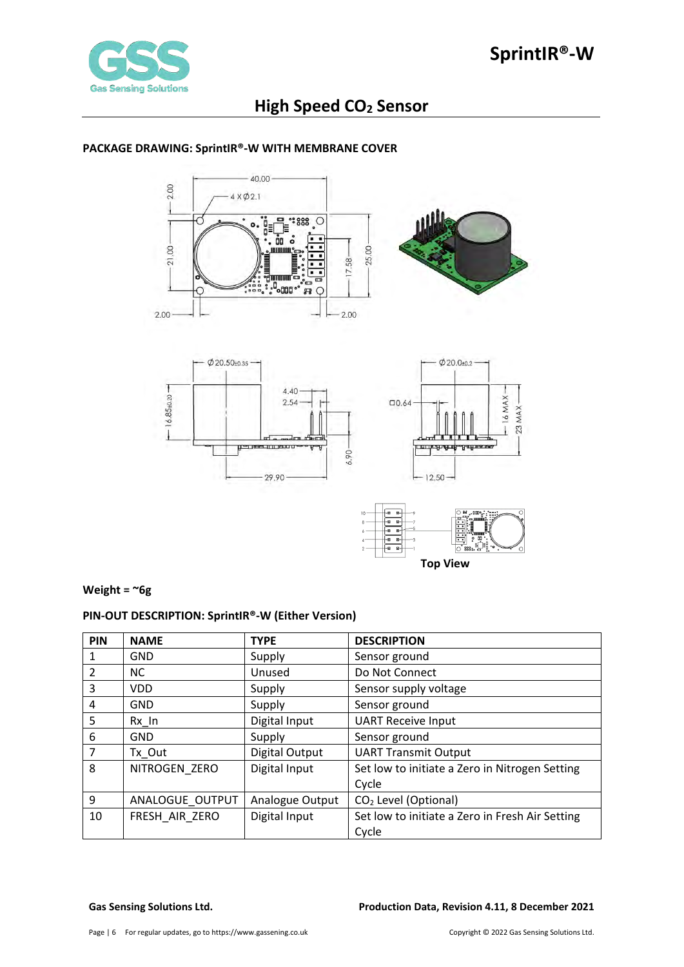

<span id="page-5-0"></span>**PACKAGE DRAWING: SprintIR®-W WITH MEMBRANE COVER**

#### $-40.00$ 2.00  $4 \times 02.1$ I, C i<br>O≡ 믢  $8800$  $\cdot^{\circ}$  $\circ$ . г. ŌO å 21.00-25.00 . . 17.58-× ۰f  $\overline{ }$ **ELECTED** €  $2.00$ 2.00





### **Weight = ~6g**

## <span id="page-5-1"></span>**PIN-OUT DESCRIPTION: SprintIR®-W (Either Version)**

| PIN           | <b>NAME</b>     | <b>TYPE</b>     | <b>DESCRIPTION</b>                              |
|---------------|-----------------|-----------------|-------------------------------------------------|
|               | <b>GND</b>      | Supply          | Sensor ground                                   |
| $\mathcal{P}$ | <b>NC</b>       | Unused          | Do Not Connect                                  |
| 3             | <b>VDD</b>      | Supply          | Sensor supply voltage                           |
| 4             | <b>GND</b>      | Supply          | Sensor ground                                   |
| 5             | Rx In           | Digital Input   | <b>UART Receive Input</b>                       |
| 6             | <b>GND</b>      | Supply          | Sensor ground                                   |
|               | Tx Out          | Digital Output  | <b>UART Transmit Output</b>                     |
| 8             | NITROGEN ZERO   | Digital Input   | Set low to initiate a Zero in Nitrogen Setting  |
|               |                 |                 | Cycle                                           |
| 9             | ANALOGUE OUTPUT | Analogue Output | CO <sub>2</sub> Level (Optional)                |
| 10            | FRESH AIR ZERO  | Digital Input   | Set low to initiate a Zero in Fresh Air Setting |
|               |                 |                 | Cycle                                           |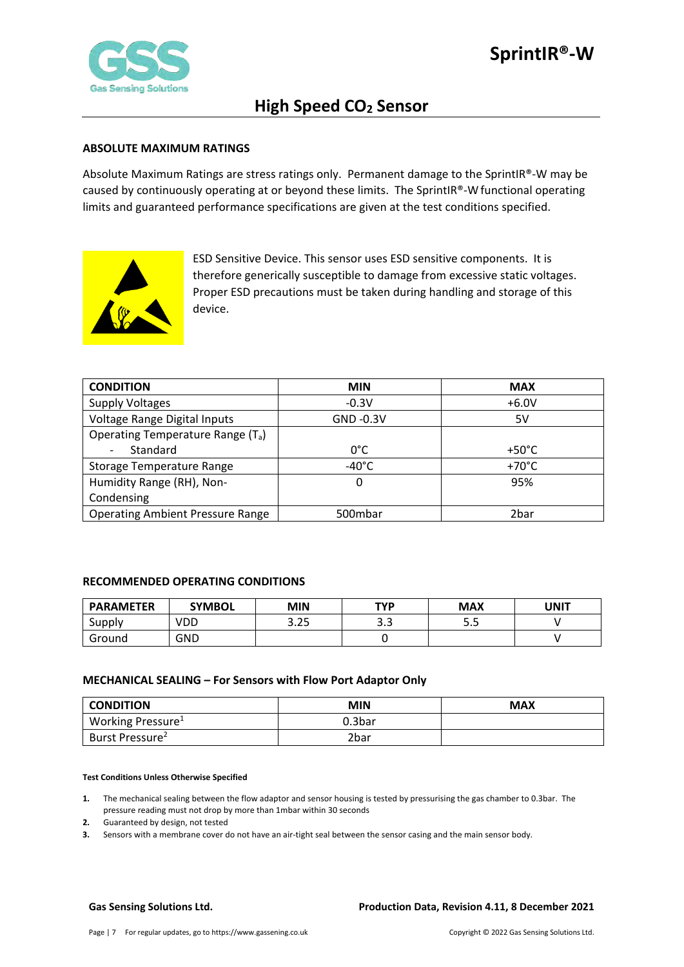

#### <span id="page-6-0"></span>**ABSOLUTE MAXIMUM RATINGS**

Absolute Maximum Ratings are stress ratings only. Permanent damage to the SprintIR®-W may be caused by continuously operating at or beyond these limits. The SprintIR®-Wfunctional operating limits and guaranteed performance specifications are given at the test conditions specified.



ESD Sensitive Device. This sensor uses ESD sensitive components. It is therefore generically susceptible to damage from excessive static voltages. Proper ESD precautions must be taken during handling and storage of this device.

| <b>CONDITION</b>                              | <b>MIN</b>      | <b>MAX</b>      |
|-----------------------------------------------|-----------------|-----------------|
| <b>Supply Voltages</b>                        | $-0.3V$         | $+6.0V$         |
| Voltage Range Digital Inputs                  | GND -0.3V       | 5V              |
| Operating Temperature Range (T <sub>a</sub> ) |                 |                 |
| Standard                                      | $0^{\circ}$ C   | $+50^{\circ}$ C |
| Storage Temperature Range                     | $-40^{\circ}$ C | $+70^{\circ}$ C |
| Humidity Range (RH), Non-                     | 0               | 95%             |
| Condensing                                    |                 |                 |
| <b>Operating Ambient Pressure Range</b>       | 500mbar         | 2bar            |

#### <span id="page-6-1"></span>**RECOMMENDED OPERATING CONDITIONS**

| <b>PARAMETER</b> | <b>SYMBOL</b> | MIN          | <b>TYP</b>        | <b>MAX</b> | UNIT |
|------------------|---------------|--------------|-------------------|------------|------|
| Supply           | VDD           | חר ר<br>د∡.د | $\Omega$<br>ں . ب | ر.ر        |      |
| Ground           | GND           |              |                   |            |      |

#### <span id="page-6-2"></span>**MECHANICAL SEALING – For Sensors with Flow Port Adaptor Only**

| <b>CONDITION</b>              | <b>MIN</b>         | <b>MAX</b> |
|-------------------------------|--------------------|------------|
| Working Pressure <sup>1</sup> | 0.3 <sub>bar</sub> |            |
| Burst Pressure <sup>2</sup>   | 2bar               |            |

#### **Test Conditions Unless Otherwise Specified**

- **1.** The mechanical sealing between the flow adaptor and sensor housing is tested by pressurising the gas chamber to 0.3bar. The pressure reading must not drop by more than 1mbar within 30 seconds
- **2.** Guaranteed by design, not tested
- **3.** Sensors with a membrane cover do not have an air-tight seal between the sensor casing and the main sensor body.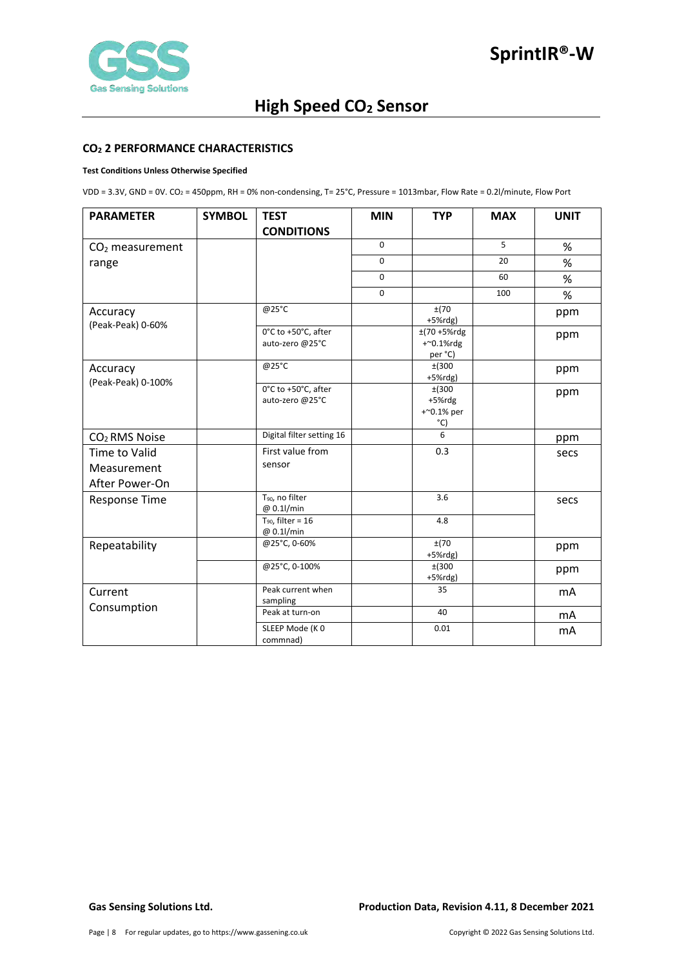

#### <span id="page-7-0"></span>**CO2 2 PERFORMANCE CHARACTERISTICS**

#### **Test Conditions Unless Otherwise Specified**

VDD = 3.3V, GND = 0V. CO2 = 450ppm, RH = 0% non-condensing, T= 25°C, Pressure = 1013mbar, Flow Rate = 0.2l/minute, Flow Port

| <b>PARAMETER</b>                               | <b>SYMBOL</b> | <b>TEST</b>                               | <b>MIN</b>  | <b>TYP</b>                                 | <b>MAX</b> | <b>UNIT</b> |
|------------------------------------------------|---------------|-------------------------------------------|-------------|--------------------------------------------|------------|-------------|
|                                                |               | <b>CONDITIONS</b>                         |             |                                            |            |             |
| $CO2$ measurement                              |               |                                           | $\mathbf 0$ |                                            | 5          | %           |
| range                                          |               |                                           | $\mathbf 0$ |                                            | 20         | %           |
|                                                |               |                                           | $\mathbf 0$ |                                            | 60         | %           |
|                                                |               |                                           | $\Omega$    |                                            | 100        | %           |
| Accuracy<br>(Peak-Peak) 0-60%                  |               | @25°C                                     |             | ±(70<br>$+5%$ rdg)                         |            | ppm         |
|                                                |               | 0°C to +50°C, after<br>auto-zero @25°C    |             | $±(70 + 5%$ rdg<br>$+$ ~0.1%rdg<br>per °C) |            | ppm         |
| Accuracy<br>(Peak-Peak) 0-100%                 |               | @25°C                                     |             | ±(300<br>$+5%$ rdg)                        |            | ppm         |
|                                                |               | 0°C to +50°C, after<br>auto-zero @25°C    |             | ±(300<br>+5%rdg<br>$+$ ~0.1% per<br>°C)    |            | ppm         |
| CO <sub>2</sub> RMS Noise                      |               | Digital filter setting 16                 |             | 6                                          |            | ppm         |
| Time to Valid<br>Measurement<br>After Power-On |               | First value from<br>sensor                |             | 0.3                                        |            | secs        |
| Response Time                                  |               | T <sub>90</sub> , no filter<br>@ 0.1l/min |             | 3.6                                        |            | secs        |
|                                                |               | $T_{90}$ , filter = 16<br>@ 0.1l/min      |             | 4.8                                        |            |             |
| Repeatability                                  |               | @25°C, 0-60%                              |             | ±(70<br>$+5%$ rdg)                         |            | ppm         |
|                                                |               | @25°C, 0-100%                             |             | ±(300<br>$+5%$ rdg)                        |            | ppm         |
| Current                                        |               | Peak current when<br>sampling             |             | 35                                         |            | mΑ          |
| Consumption                                    |               | Peak at turn-on                           |             | 40                                         |            | mA          |
|                                                |               | SLEEP Mode (KO<br>commnad)                |             | 0.01                                       |            | mA          |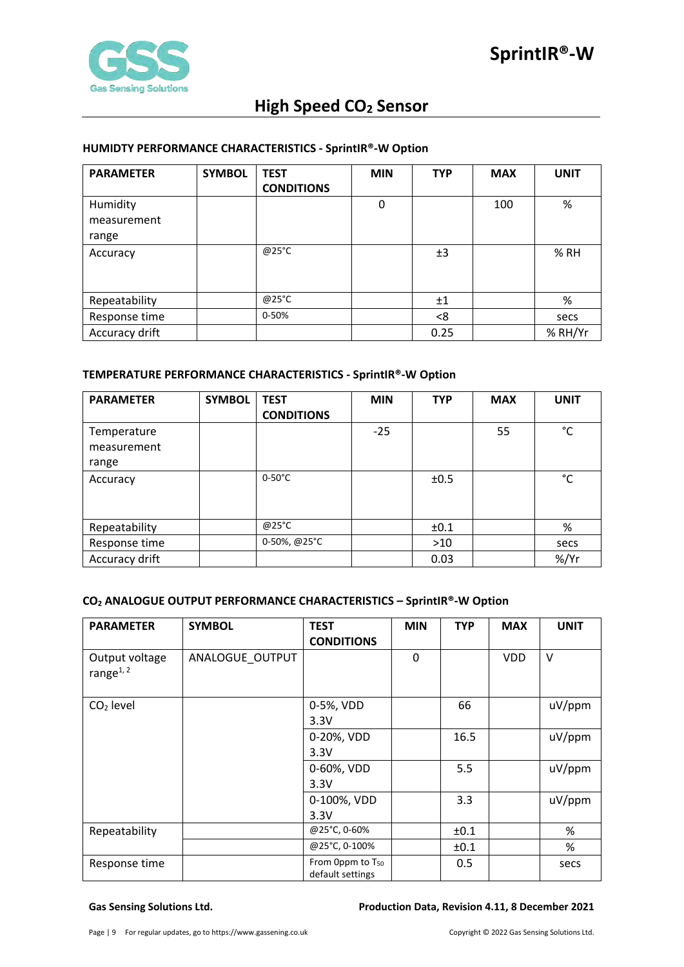

#### <span id="page-8-0"></span>**HUMIDTY PERFORMANCE CHARACTERISTICS - SprintIR®-W Option**

| <b>PARAMETER</b> | <b>SYMBOL</b> | <b>TEST</b><br><b>CONDITIONS</b> | <b>MIN</b> | <b>TYP</b> | <b>MAX</b> | <b>UNIT</b> |
|------------------|---------------|----------------------------------|------------|------------|------------|-------------|
| Humidity         |               |                                  | 0          |            | 100        | %           |
| measurement      |               |                                  |            |            |            |             |
| range            |               |                                  |            |            |            |             |
| Accuracy         |               | @25°C                            |            | ±3         |            | % RH        |
| Repeatability    |               | @25°C                            |            | ±1         |            | %           |
| Response time    |               | 0-50%                            |            | <8         |            | secs        |
| Accuracy drift   |               |                                  |            | 0.25       |            | % RH/Yr     |

### <span id="page-8-1"></span>**TEMPERATURE PERFORMANCE CHARACTERISTICS - SprintIR®-W Option**

| <b>PARAMETER</b> | <b>SYMBOL</b> | <b>TEST</b>       | <b>MIN</b> | <b>TYP</b> | <b>MAX</b> | <b>UNIT</b> |
|------------------|---------------|-------------------|------------|------------|------------|-------------|
|                  |               | <b>CONDITIONS</b> |            |            |            |             |
| Temperature      |               |                   | $-25$      |            | 55         | °C          |
| measurement      |               |                   |            |            |            |             |
| range            |               |                   |            |            |            |             |
| Accuracy         |               | $0-50^{\circ}$ C  |            | ±0.5       |            | °C          |
|                  |               |                   |            |            |            |             |
|                  |               |                   |            |            |            |             |
| Repeatability    |               | $@25^{\circ}$ C   |            | ±0.1       |            | %           |
| Response time    |               | 0-50%, @25°C      |            | $>10$      |            | secs        |
| Accuracy drift   |               |                   |            | 0.03       |            | $%$ /Yr     |

## <span id="page-8-2"></span>**CO2 ANALOGUE OUTPUT PERFORMANCE CHARACTERISTICS – SprintIR®-W Option**

| <b>PARAMETER</b>               | <b>SYMBOL</b>   | <b>TEST</b>                                      | <b>MIN</b>   | <b>TYP</b> | <b>MAX</b> | <b>UNIT</b> |
|--------------------------------|-----------------|--------------------------------------------------|--------------|------------|------------|-------------|
|                                |                 | <b>CONDITIONS</b>                                |              |            |            |             |
| Output voltage<br>range $1, 2$ | ANALOGUE_OUTPUT |                                                  | $\mathbf{0}$ |            | <b>VDD</b> | $\vee$      |
| $CO2$ level                    |                 | 0-5%, VDD                                        |              | 66         |            | uV/ppm      |
|                                |                 | 3.3V                                             |              |            |            |             |
|                                |                 | 0-20%, VDD                                       |              | 16.5       |            | uV/ppm      |
|                                |                 | 3.3V                                             |              |            |            |             |
|                                |                 | 0-60%, VDD                                       |              | 5.5        |            | $uV$ /ppm   |
|                                |                 | 3.3V                                             |              |            |            |             |
|                                |                 | 0-100%, VDD                                      |              | 3.3        |            | uV/ppm      |
|                                |                 | 3.3V                                             |              |            |            |             |
| Repeatability                  |                 | @25°C, 0-60%                                     |              | ±0.1       |            | %           |
|                                |                 | @25°C, 0-100%                                    |              | ±0.1       |            | %           |
| Response time                  |                 | From 0ppm to T <sub>50</sub><br>default settings |              | 0.5        |            | secs        |

#### **Gas Sensing Solutions Ltd. Production Data, Revision 4.11, 8 December 2021**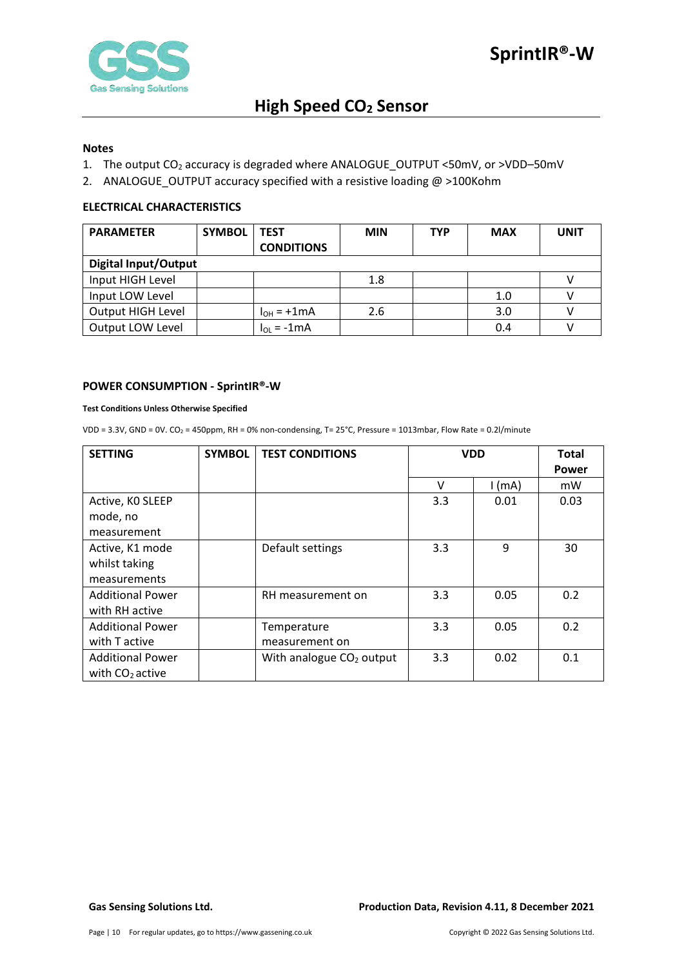

#### **Notes**

- 1. The output CO<sub>2</sub> accuracy is degraded where ANALOGUE\_OUTPUT <50mV, or >VDD-50mV
- 2. ANALOGUE\_OUTPUT accuracy specified with a resistive loading @ >100Kohm

#### <span id="page-9-0"></span>**ELECTRICAL CHARACTERISTICS**

| <b>PARAMETER</b>            | <b>SYMBOL</b> | <b>TEST</b>       | <b>MIN</b> | <b>TYP</b> | <b>MAX</b> | <b>UNIT</b> |
|-----------------------------|---------------|-------------------|------------|------------|------------|-------------|
|                             |               | <b>CONDITIONS</b> |            |            |            |             |
| <b>Digital Input/Output</b> |               |                   |            |            |            |             |
| Input HIGH Level            |               |                   | 1.8        |            |            |             |
| Input LOW Level             |               |                   |            |            | 1.0        |             |
| Output HIGH Level           |               | $I_{OH}$ = +1mA   | 2.6        |            | 3.0        |             |
| Output LOW Level            |               | $I_{OL}$ = -1 mA  |            |            | 0.4        |             |

#### <span id="page-9-1"></span>**POWER CONSUMPTION - SprintIR®-W**

#### **Test Conditions Unless Otherwise Specified**

VDD = 3.3V, GND = 0V. CO2 = 450ppm, RH = 0% non-condensing, T= 25°C, Pressure = 1013mbar, Flow Rate = 0.2l/minute

| <b>SETTING</b>          | <b>SYMBOL</b> | <b>TEST CONDITIONS</b>               | <b>VDD</b> |          | <b>Total</b><br><b>Power</b> |
|-------------------------|---------------|--------------------------------------|------------|----------|------------------------------|
|                         |               |                                      | v          | $1$ (mA) | mW                           |
| Active, KO SLEEP        |               |                                      | 3.3        | 0.01     | 0.03                         |
| mode, no                |               |                                      |            |          |                              |
| measurement             |               |                                      |            |          |                              |
| Active, K1 mode         |               | Default settings                     | 3.3        | 9        | 30                           |
| whilst taking           |               |                                      |            |          |                              |
| measurements            |               |                                      |            |          |                              |
| <b>Additional Power</b> |               | RH measurement on                    | 3.3        | 0.05     | 0.2                          |
| with RH active          |               |                                      |            |          |                              |
| <b>Additional Power</b> |               | Temperature                          | 3.3        | 0.05     | 0.2                          |
| with T active           |               | measurement on                       |            |          |                              |
| <b>Additional Power</b> |               | With analogue CO <sub>2</sub> output | 3.3        | 0.02     | 0.1                          |
| with $CO2$ active       |               |                                      |            |          |                              |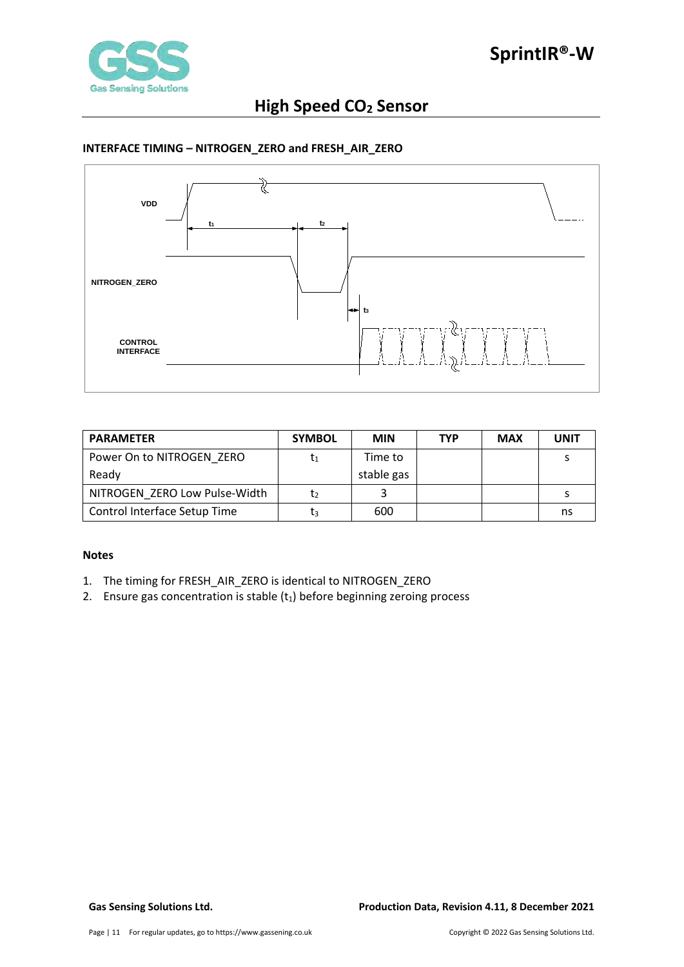

### <span id="page-10-0"></span>**INTERFACE TIMING – NITROGEN\_ZERO and FRESH\_AIR\_ZERO**



| <b>PARAMETER</b>              | <b>SYMBOL</b> | <b>MIN</b> | <b>TYP</b> | <b>MAX</b> | <b>UNIT</b> |
|-------------------------------|---------------|------------|------------|------------|-------------|
| Power On to NITROGEN ZERO     | ľ1            | Time to    |            |            |             |
| Ready                         |               | stable gas |            |            |             |
| NITROGEN ZERO Low Pulse-Width | Ţ٥            |            |            |            |             |
| Control Interface Setup Time  | Ţз            | 600        |            |            | ns          |

#### **Notes**

- 1. The timing for FRESH\_AIR\_ZERO is identical to NITROGEN\_ZERO
- 2. Ensure gas concentration is stable  $(t_1)$  before beginning zeroing process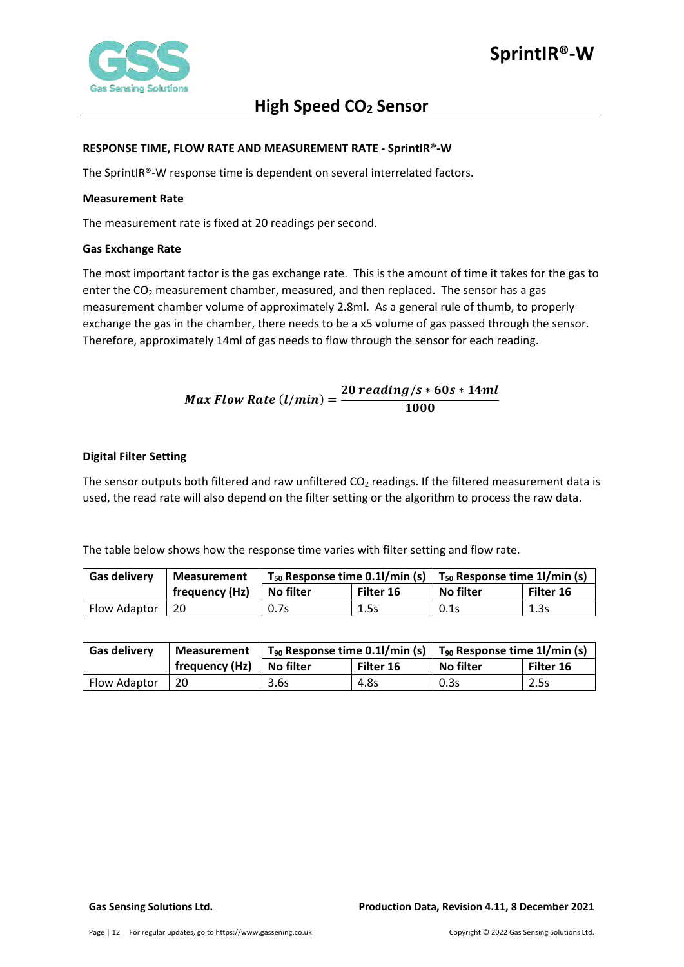

#### <span id="page-11-0"></span>**RESPONSE TIME, FLOW RATE AND MEASUREMENT RATE - SprintIR®-W**

The SprintIR®-W response time is dependent on several interrelated factors.

#### <span id="page-11-1"></span>**Measurement Rate**

The measurement rate is fixed at 20 readings per second.

#### <span id="page-11-2"></span>**Gas Exchange Rate**

The most important factor is the gas exchange rate. This is the amount of time it takes for the gas to enter the CO<sub>2</sub> measurement chamber, measured, and then replaced. The sensor has a gas measurement chamber volume of approximately 2.8ml. As a general rule of thumb, to properly exchange the gas in the chamber, there needs to be a x5 volume of gas passed through the sensor. Therefore, approximately 14ml of gas needs to flow through the sensor for each reading.

$$
Max Flow Rate (l/min) = \frac{20\ reading/s * 60s * 14ml}{1000}
$$

#### <span id="page-11-3"></span>**Digital Filter Setting**

The sensor outputs both filtered and raw unfiltered  $CO<sub>2</sub>$  readings. If the filtered measurement data is used, the read rate will also depend on the filter setting or the algorithm to process the raw data.

The table below shows how the response time varies with filter setting and flow rate.

| <b>Gas delivery</b> | <b>Measurement</b> | $T_{50}$ Response time 0.1l/min (s) |           | $\mid$ T <sub>50</sub> Response time 1l/min (s) |           |
|---------------------|--------------------|-------------------------------------|-----------|-------------------------------------------------|-----------|
|                     | frequency (Hz)     | No filter                           | Filter 16 | No filter                                       | Filter 16 |
| Flow Adaptor        | 20                 | 0.7s                                | 1.5s      | 0.1s                                            | 1.3s      |

| <b>Gas delivery</b> | <b>Measurement</b> | $T_{90}$ Response time 0.1l/min (s) |           | $\mid$ T <sub>90</sub> Response time 1l/min (s) |           |  |
|---------------------|--------------------|-------------------------------------|-----------|-------------------------------------------------|-----------|--|
|                     | frequency (Hz)     | <b>No filter</b>                    | Filter 16 | No filter                                       | Filter 16 |  |
| Flow Adaptor        | 20                 | 3.6s                                | 4.8s      | 0.3s                                            | 2.5s      |  |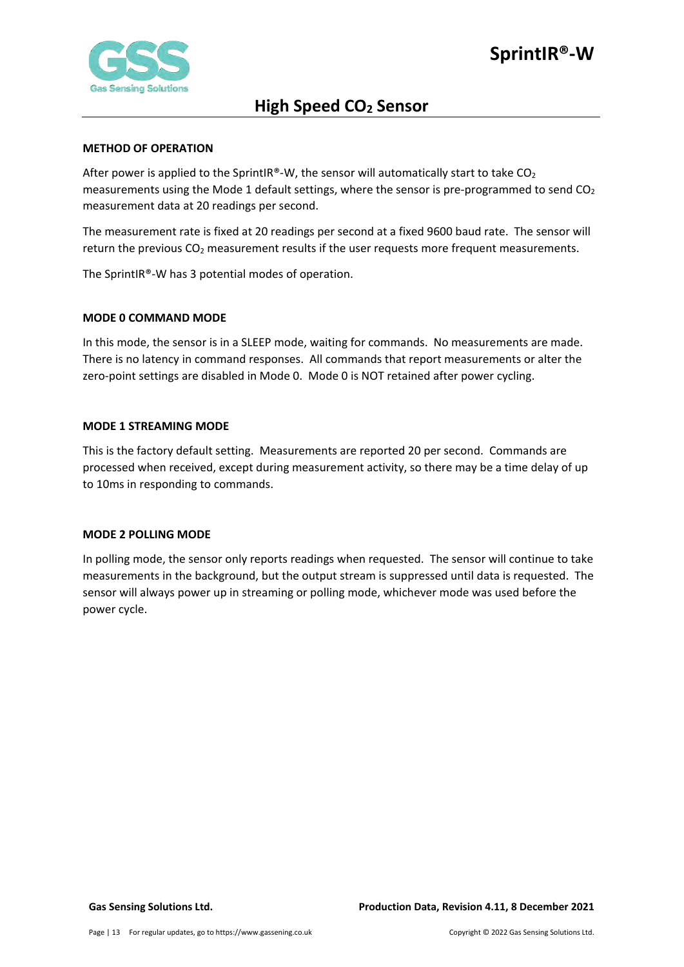

#### <span id="page-12-0"></span>**METHOD OF OPERATION**

After power is applied to the SprintIR®-W, the sensor will automatically start to take  $CO<sub>2</sub>$ measurements using the Mode 1 default settings, where the sensor is pre-programmed to send  $CO<sub>2</sub>$ measurement data at 20 readings per second.

The measurement rate is fixed at 20 readings per second at a fixed 9600 baud rate. The sensor will return the previous  $CO<sub>2</sub>$  measurement results if the user requests more frequent measurements.

The SprintIR®-W has 3 potential modes of operation.

#### <span id="page-12-1"></span>**MODE 0 COMMAND MODE**

In this mode, the sensor is in a SLEEP mode, waiting for commands. No measurements are made. There is no latency in command responses. All commands that report measurements or alter the zero-point settings are disabled in Mode 0. Mode 0 is NOT retained after power cycling.

#### <span id="page-12-2"></span>**MODE 1 STREAMING MODE**

This is the factory default setting. Measurements are reported 20 per second. Commands are processed when received, except during measurement activity, so there may be a time delay of up to 10ms in responding to commands.

#### <span id="page-12-3"></span>**MODE 2 POLLING MODE**

In polling mode, the sensor only reports readings when requested. The sensor will continue to take measurements in the background, but the output stream is suppressed until data is requested. The sensor will always power up in streaming or polling mode, whichever mode was used before the power cycle.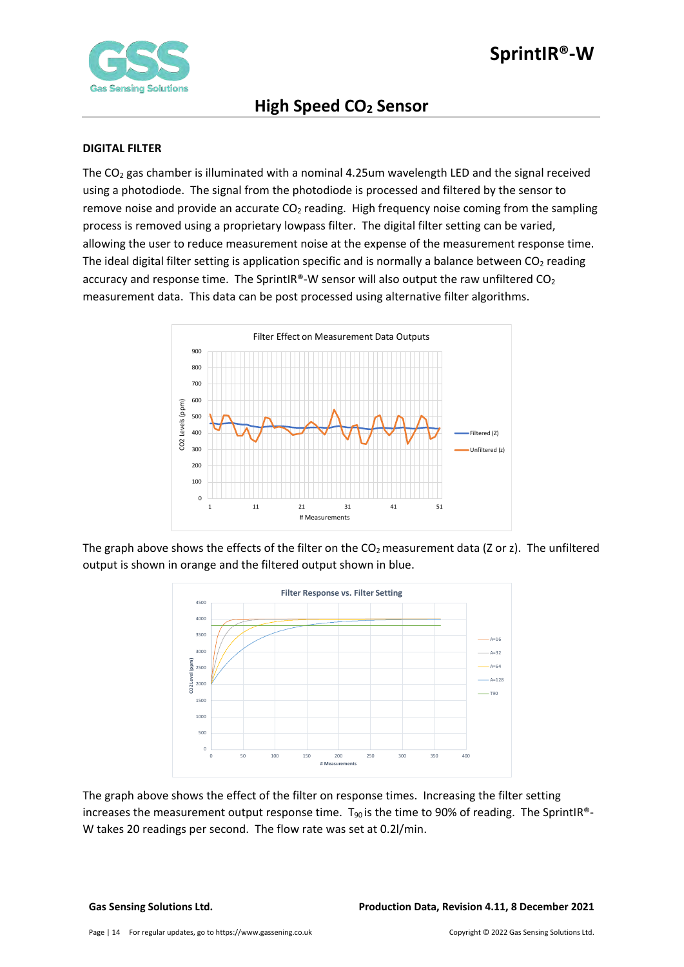

#### <span id="page-13-0"></span>**DIGITAL FILTER**

The  $CO<sub>2</sub>$  gas chamber is illuminated with a nominal 4.25um wavelength LED and the signal received using a photodiode. The signal from the photodiode is processed and filtered by the sensor to remove noise and provide an accurate  $CO<sub>2</sub>$  reading. High frequency noise coming from the sampling process is removed using a proprietary lowpass filter. The digital filter setting can be varied, allowing the user to reduce measurement noise at the expense of the measurement response time. The ideal digital filter setting is application specific and is normally a balance between  $CO<sub>2</sub>$  reading accuracy and response time. The SprintIR®-W sensor will also output the raw unfiltered  $CO<sub>2</sub>$ measurement data. This data can be post processed using alternative filter algorithms.



The graph above shows the effects of the filter on the  $CO<sub>2</sub>$  measurement data (Z or z). The unfiltered output is shown in orange and the filtered output shown in blue.



The graph above shows the effect of the filter on response times. Increasing the filter setting increases the measurement output response time.  $T_{90}$  is the time to 90% of reading. The SprintIR®-W takes 20 readings per second. The flow rate was set at 0.2l/min.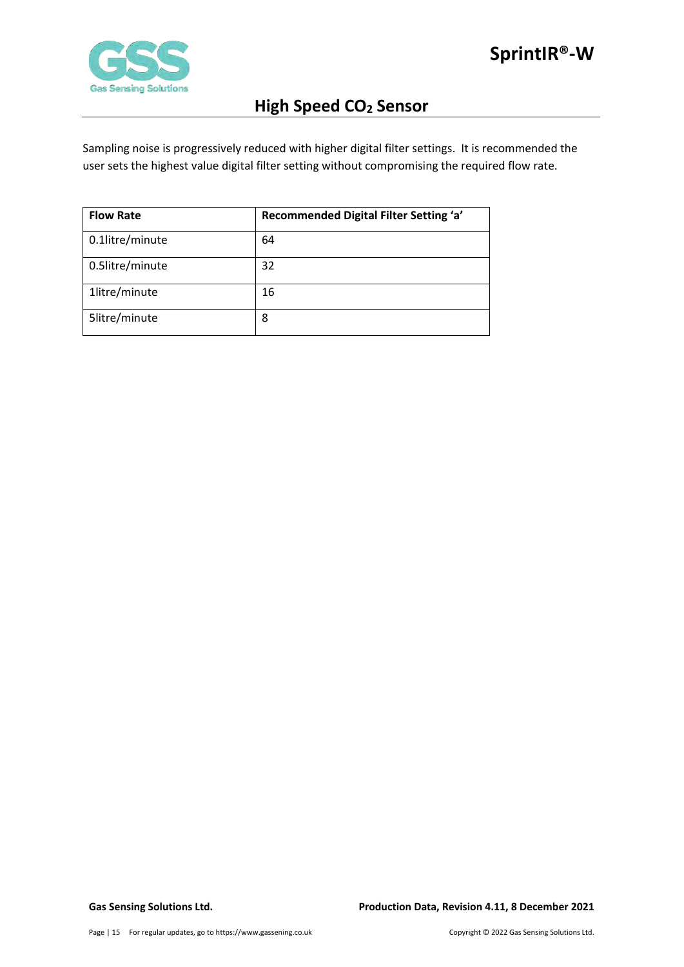

Sampling noise is progressively reduced with higher digital filter settings. It is recommended the user sets the highest value digital filter setting without compromising the required flow rate.

| <b>Flow Rate</b> | Recommended Digital Filter Setting 'a' |
|------------------|----------------------------------------|
| 0.1litre/minute  | 64                                     |
| 0.5litre/minute  | 32                                     |
| 1litre/minute    | 16                                     |
| 5litre/minute    | 8                                      |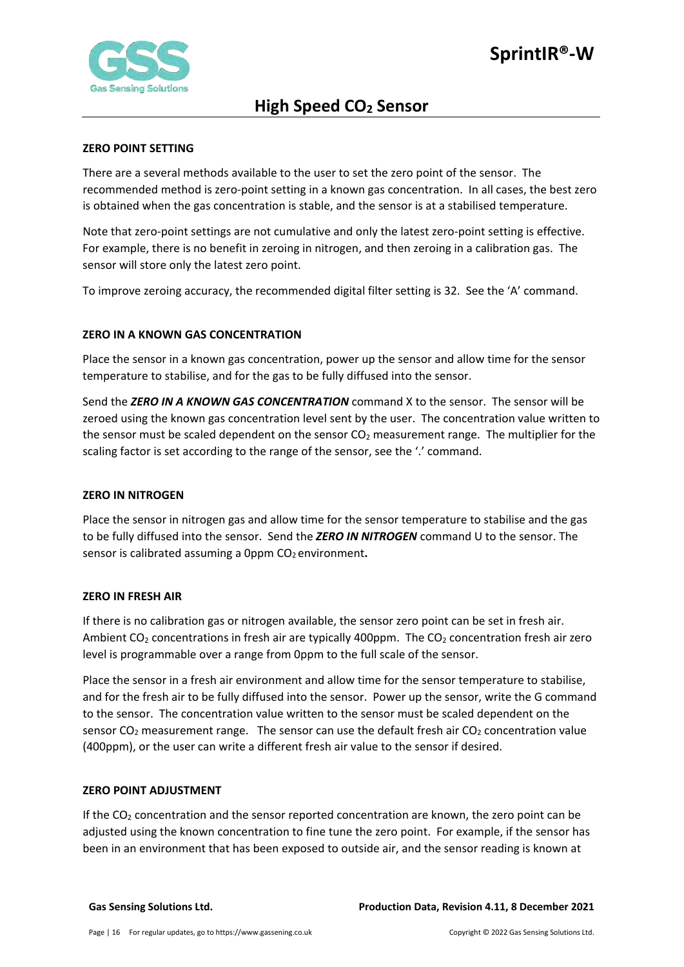

### <span id="page-15-0"></span>**ZERO POINT SETTING**

There are a several methods available to the user to set the zero point of the sensor. The recommended method is zero-point setting in a known gas concentration. In all cases, the best zero is obtained when the gas concentration is stable, and the sensor is at a stabilised temperature.

Note that zero-point settings are not cumulative and only the latest zero-point setting is effective. For example, there is no benefit in zeroing in nitrogen, and then zeroing in a calibration gas. The sensor will store only the latest zero point.

To improve zeroing accuracy, the recommended digital filter setting is 32. See the 'A' command.

### <span id="page-15-1"></span>**ZERO IN A KNOWN GAS CONCENTRATION**

Place the sensor in a known gas concentration, power up the sensor and allow time for the sensor temperature to stabilise, and for the gas to be fully diffused into the sensor.

Send the *ZERO IN A KNOWN GAS CONCENTRATION* command X to the sensor. The sensor will be zeroed using the known gas concentration level sent by the user. The concentration value written to the sensor must be scaled dependent on the sensor  $CO<sub>2</sub>$  measurement range. The multiplier for the scaling factor is set according to the range of the sensor, see the '.' command.

#### <span id="page-15-2"></span>**ZERO IN NITROGEN**

Place the sensor in nitrogen gas and allow time for the sensor temperature to stabilise and the gas to be fully diffused into the sensor. Send the *ZERO IN NITROGEN* command U to the sensor. The sensor is calibrated assuming a 0ppm CO<sub>2</sub> environment.

#### <span id="page-15-3"></span>**ZERO IN FRESH AIR**

If there is no calibration gas or nitrogen available, the sensor zero point can be set in fresh air. Ambient  $CO<sub>2</sub>$  concentrations in fresh air are typically 400ppm. The  $CO<sub>2</sub>$  concentration fresh air zero level is programmable over a range from 0ppm to the full scale of the sensor.

Place the sensor in a fresh air environment and allow time for the sensor temperature to stabilise, and for the fresh air to be fully diffused into the sensor. Power up the sensor, write the G command to the sensor. The concentration value written to the sensor must be scaled dependent on the sensor  $CO<sub>2</sub>$  measurement range. The sensor can use the default fresh air  $CO<sub>2</sub>$  concentration value (400ppm), or the user can write a different fresh air value to the sensor if desired.

#### <span id="page-15-4"></span>**ZERO POINT ADJUSTMENT**

If the  $CO<sub>2</sub>$  concentration and the sensor reported concentration are known, the zero point can be adjusted using the known concentration to fine tune the zero point. For example, if the sensor has been in an environment that has been exposed to outside air, and the sensor reading is known at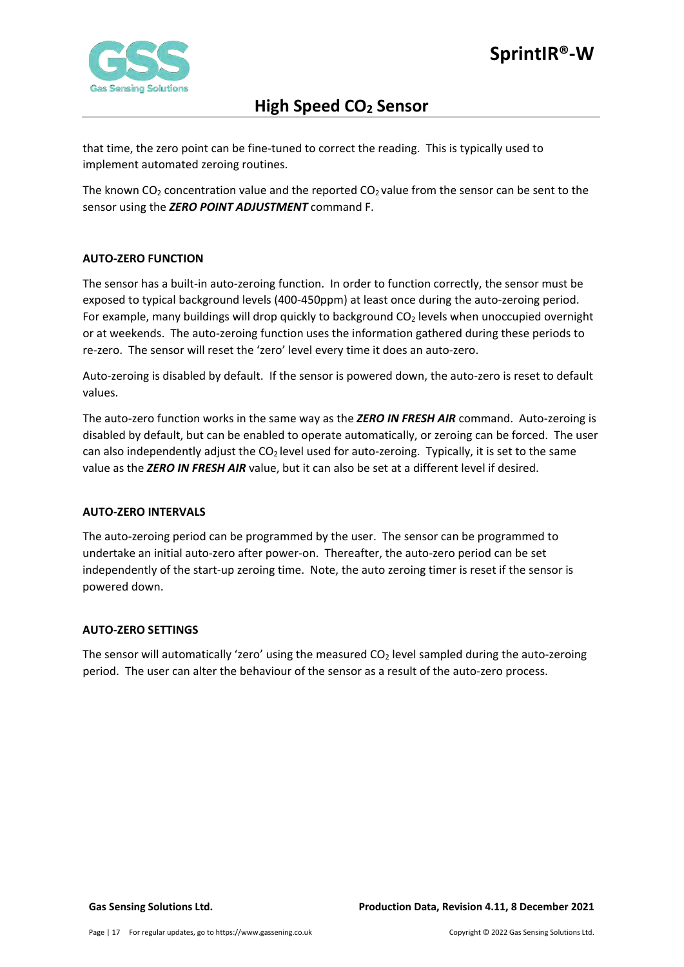

that time, the zero point can be fine-tuned to correct the reading. This is typically used to implement automated zeroing routines.

The known CO<sub>2</sub> concentration value and the reported CO<sub>2</sub> value from the sensor can be sent to the sensor using the *ZERO POINT ADJUSTMENT* command F.

### <span id="page-16-0"></span>**AUTO-ZERO FUNCTION**

The sensor has a built-in auto-zeroing function. In order to function correctly, the sensor must be exposed to typical background levels (400-450ppm) at least once during the auto-zeroing period. For example, many buildings will drop quickly to background  $CO<sub>2</sub>$  levels when unoccupied overnight or at weekends. The auto-zeroing function uses the information gathered during these periods to re-zero. The sensor will reset the 'zero' level every time it does an auto-zero.

Auto-zeroing is disabled by default. If the sensor is powered down, the auto-zero is reset to default values.

The auto-zero function works in the same way as the *ZERO IN FRESH AIR* command. Auto-zeroing is disabled by default, but can be enabled to operate automatically, or zeroing can be forced. The user can also independently adjust the  $CO<sub>2</sub>$  level used for auto-zeroing. Typically, it is set to the same value as the *ZERO IN FRESH AIR* value, but it can also be set at a different level if desired.

### <span id="page-16-1"></span>**AUTO-ZERO INTERVALS**

The auto-zeroing period can be programmed by the user. The sensor can be programmed to undertake an initial auto-zero after power-on. Thereafter, the auto-zero period can be set independently of the start-up zeroing time. Note, the auto zeroing timer is reset if the sensor is powered down.

#### <span id="page-16-2"></span>**AUTO-ZERO SETTINGS**

The sensor will automatically 'zero' using the measured  $CO<sub>2</sub>$  level sampled during the auto-zeroing period. The user can alter the behaviour of the sensor as a result of the auto-zero process.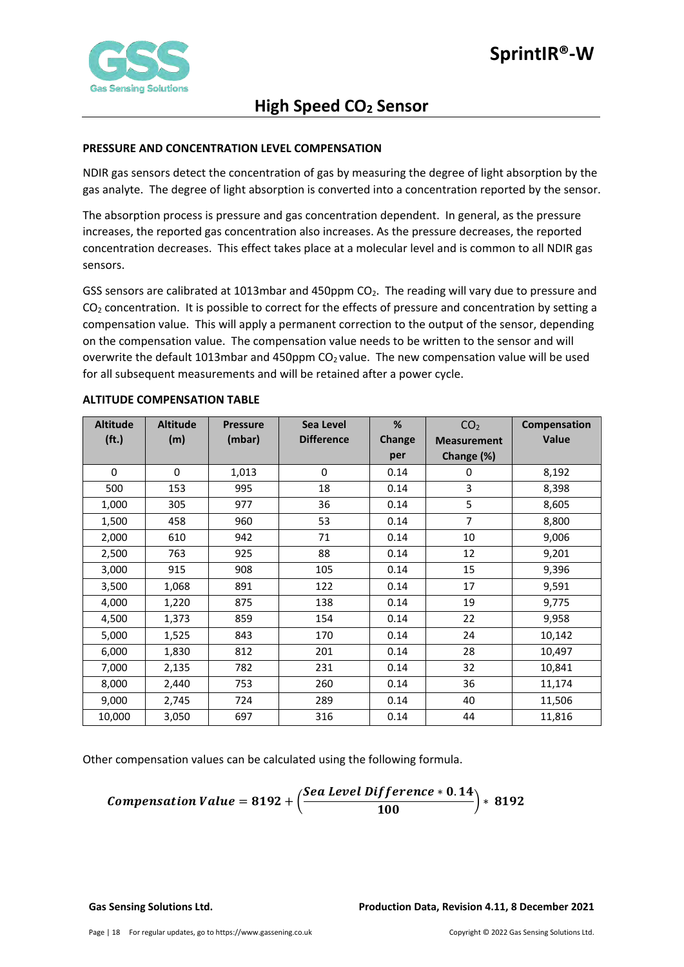

### <span id="page-17-0"></span>**PRESSURE AND CONCENTRATION LEVEL COMPENSATION**

NDIR gas sensors detect the concentration of gas by measuring the degree of light absorption by the gas analyte. The degree of light absorption is converted into a concentration reported by the sensor.

The absorption process is pressure and gas concentration dependent. In general, as the pressure increases, the reported gas concentration also increases. As the pressure decreases, the reported concentration decreases. This effect takes place at a molecular level and is common to all NDIR gas sensors.

GSS sensors are calibrated at 1013mbar and 450ppm CO<sub>2</sub>. The reading will vary due to pressure and  $CO<sub>2</sub>$  concentration. It is possible to correct for the effects of pressure and concentration by setting a compensation value. This will apply a permanent correction to the output of the sensor, depending on the compensation value. The compensation value needs to be written to the sensor and will overwrite the default 1013mbar and 450ppm  $CO<sub>2</sub>$  value. The new compensation value will be used for all subsequent measurements and will be retained after a power cycle.

| <b>Altitude</b>   | <b>Altitude</b> | <b>Pressure</b> | Sea Level         | %             | CO <sub>2</sub>    | Compensation |
|-------------------|-----------------|-----------------|-------------------|---------------|--------------------|--------------|
| (f <sub>t</sub> ) | (m)             | (mbar)          | <b>Difference</b> | <b>Change</b> | <b>Measurement</b> | Value        |
|                   |                 |                 |                   | per           | Change (%)         |              |
| $\Omega$          | $\Omega$        | 1,013           | $\mathbf 0$       | 0.14          | 0                  | 8,192        |
| 500               | 153             | 995             | 18                | 0.14          | 3                  | 8,398        |
| 1,000             | 305             | 977             | 36                | 0.14          | 5                  | 8,605        |
| 1,500             | 458             | 960             | 53                | 0.14          | $\overline{7}$     | 8,800        |
| 2,000             | 610             | 942             | 71                | 0.14          | 10                 | 9,006        |
| 2,500             | 763             | 925             | 88                | 0.14          | 12                 | 9,201        |
| 3,000             | 915             | 908             | 105               | 0.14          | 15                 | 9,396        |
| 3,500             | 1,068           | 891             | 122               | 0.14          | 17                 | 9,591        |
| 4,000             | 1,220           | 875             | 138               | 0.14          | 19                 | 9,775        |
| 4,500             | 1,373           | 859             | 154               | 0.14          | 22                 | 9,958        |
| 5,000             | 1,525           | 843             | 170               | 0.14          | 24                 | 10,142       |
| 6,000             | 1,830           | 812             | 201               | 0.14          | 28                 | 10,497       |
| 7,000             | 2,135           | 782             | 231               | 0.14          | 32                 | 10,841       |
| 8,000             | 2,440           | 753             | 260               | 0.14          | 36                 | 11,174       |
| 9,000             | 2,745           | 724             | 289               | 0.14          | 40                 | 11,506       |
| 10,000            | 3,050           | 697             | 316               | 0.14          | 44                 | 11,816       |

#### <span id="page-17-1"></span>**ALTITUDE COMPENSATION TABLE**

Other compensation values can be calculated using the following formula.

**Comparison Value = 8192 +** 
$$
\left( \frac{See \text{ Level Difference} * 0.14}{100} \right) * 8192
$$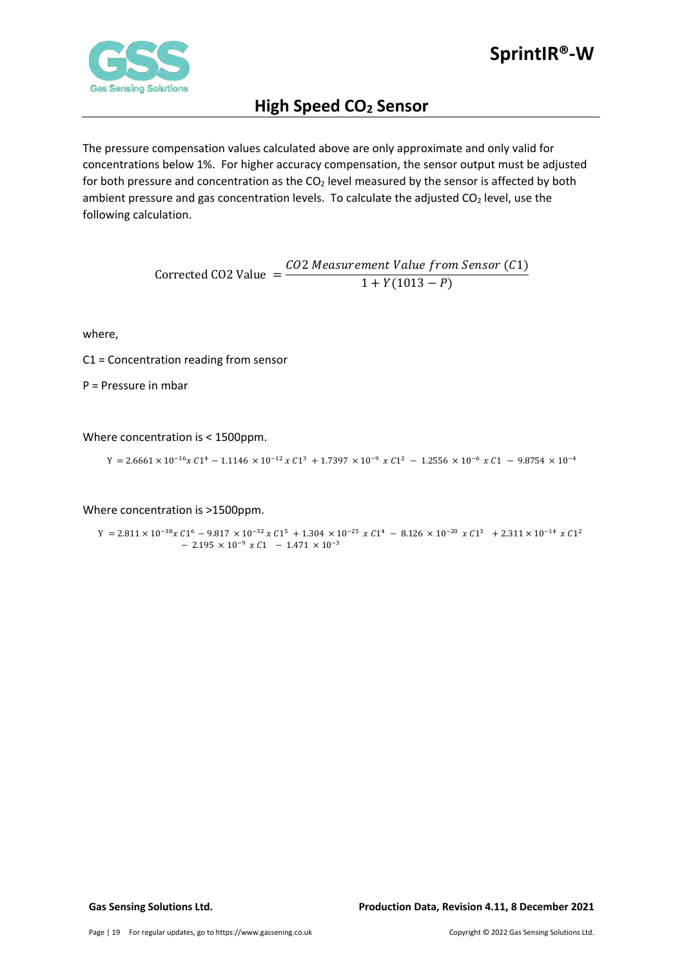

The pressure compensation values calculated above are only approximate and only valid for concentrations below 1%. For higher accuracy compensation, the sensor output must be adjusted for both pressure and concentration as the  $CO<sub>2</sub>$  level measured by the sensor is affected by both ambient pressure and gas concentration levels. To calculate the adjusted  $CO<sub>2</sub>$  level, use the following calculation.

> $Corrected CO2 Value =$ CO2 Measurement Value from Sensor (C1)  $1 + Y(1013 - P)$

where,

C1 = Concentration reading from sensor

P = Pressure in mbar

Where concentration is < 1500ppm.

 $Y = 2.6661 \times 10^{-16} x C1^4 - 1.1146 \times 10^{-12} x C1^3 + 1.7397 \times 10^{-9} x C1^2 - 1.2556 \times 10^{-6} x C1 - 9.8754 \times 10^{-4}$ 

Where concentration is >1500ppm.

 $\Upsilon = 2.811 \times 10^{-38} \chi \, C1^6 \, - \, 9.817 \, \times 10^{-32} \, \chi \, C1^5 \, + \, 1.304 \, \times 10^{-25} \, \chi \, C1^4 \, - \, 8.126 \, \times 10^{-20} \, \chi \, C1^3 \ \, + \, 2.311 \times 10^{-14} \, \chi \, C1^2$  $-$  2.195  $\times$  10<sup>-9</sup>  $\times$  C1  $-$  1.471  $\times$  10<sup>-3</sup>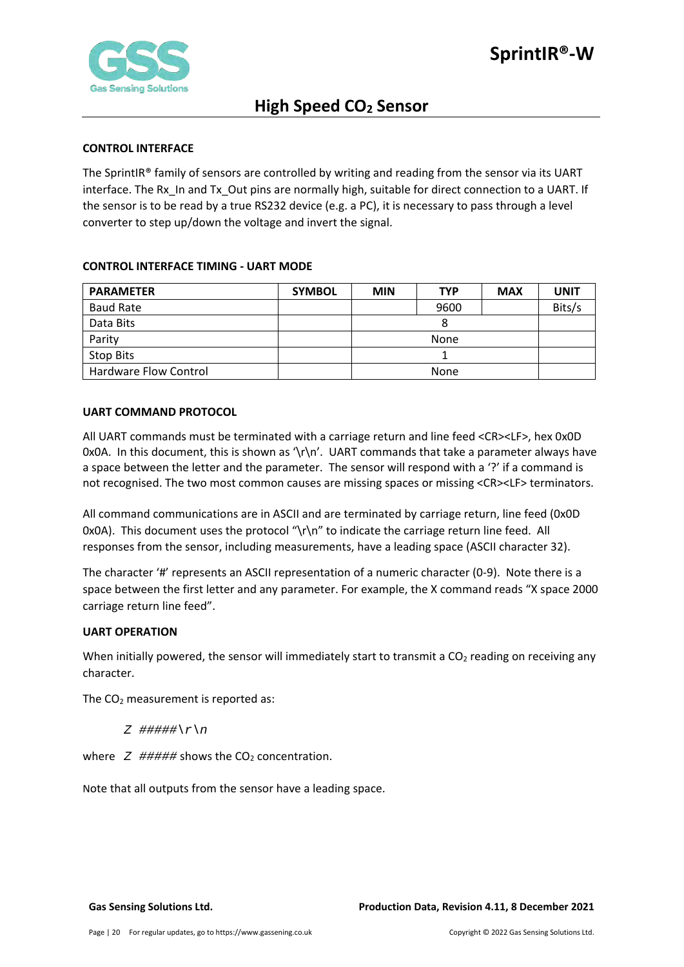

#### <span id="page-19-0"></span>**CONTROL INTERFACE**

The SprintIR® family of sensors are controlled by writing and reading from the sensor via its UART interface. The Rx\_In and Tx\_Out pins are normally high, suitable for direct connection to a UART. If the sensor is to be read by a true RS232 device (e.g. a PC), it is necessary to pass through a level converter to step up/down the voltage and invert the signal.

### <span id="page-19-1"></span>**CONTROL INTERFACE TIMING - UART MODE**

| <b>PARAMETER</b>      | <b>SYMBOL</b> | <b>MIN</b> | <b>TYP</b> | <b>MAX</b> | <b>UNIT</b> |
|-----------------------|---------------|------------|------------|------------|-------------|
| <b>Baud Rate</b>      |               |            | 9600       |            | Bits/s      |
| Data Bits             |               | 8          |            |            |             |
| Parity                |               | None       |            |            |             |
| Stop Bits             |               |            |            |            |             |
| Hardware Flow Control |               | None       |            |            |             |

### <span id="page-19-2"></span>**UART COMMAND PROTOCOL**

All UART commands must be terminated with a carriage return and line feed <CR><LF>, hex 0x0D 0x0A. In this document, this is shown as '\r\n'. UART commands that take a parameter always have a space between the letter and the parameter. The sensor will respond with a '?' if a command is not recognised. The two most common causes are missing spaces or missing <CR><LF> terminators.

All command communications are in ASCII and are terminated by carriage return, line feed (0x0D 0x0A). This document uses the protocol "\r\n" to indicate the carriage return line feed. All responses from the sensor, including measurements, have a leading space (ASCII character 32).

The character '#' represents an ASCII representation of a numeric character (0-9). Note there is a space between the first letter and any parameter. For example, the X command reads "X space 2000 carriage return line feed".

#### <span id="page-19-3"></span>**UART OPERATION**

When initially powered, the sensor will immediately start to transmit a  $CO<sub>2</sub>$  reading on receiving any character.

The  $CO<sub>2</sub>$  measurement is reported as:

*Z #####\r\n*

where  $Z$  ##### shows the  $CO<sub>2</sub>$  concentration.

Note that all outputs from the sensor have a leading space.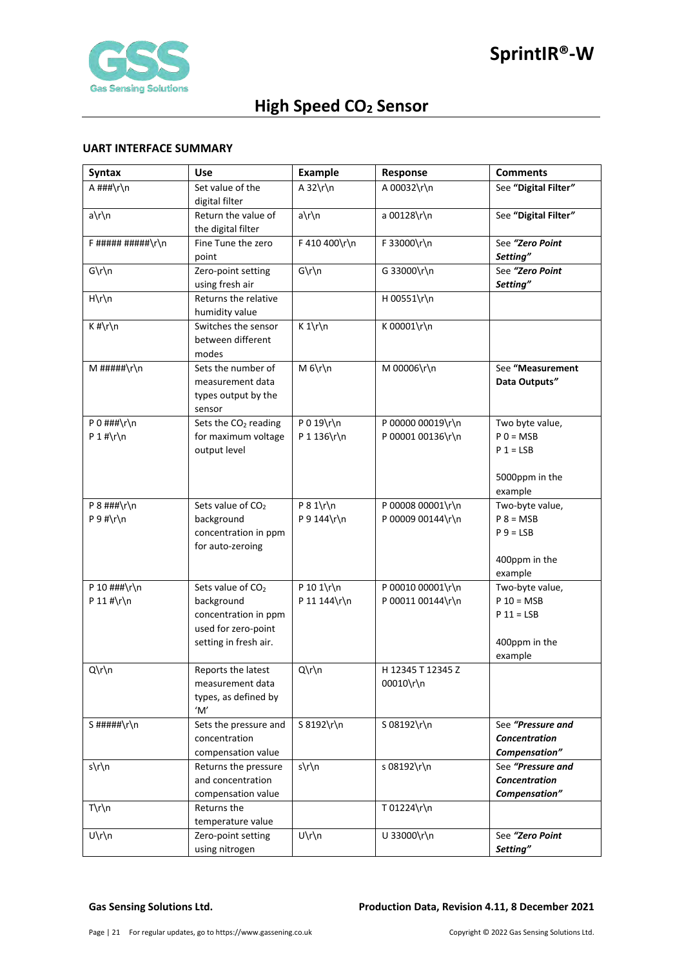

#### <span id="page-20-0"></span>**UART INTERFACE SUMMARY**

| <b>Syntax</b>      | <b>Use</b>                       | <b>Example</b> | Response          | <b>Comments</b>                |
|--------------------|----------------------------------|----------------|-------------------|--------------------------------|
| A ###\r\n          | Set value of the                 | A $32\$ r\n    | A 00032\r\n       | See "Digital Filter"           |
|                    | digital filter                   |                |                   |                                |
| $a\h$              | Return the value of              | a\r\n          | a 00128\r\n       | See "Digital Filter"           |
|                    | the digital filter               |                |                   |                                |
| $F$ ##########\r\n | Fine Tune the zero               | F 410 400\r\n  | F 33000\r\n       | See "Zero Point                |
|                    | point                            |                |                   | Setting"                       |
| $G\r\ln$           | Zero-point setting               | $G\r\ln$       | G 33000\r\n       | See "Zero Point                |
|                    | using fresh air                  |                |                   | Setting"                       |
| $H\rrbraket{n}$    | Returns the relative             |                | H 00551\r\n       |                                |
|                    | humidity value                   |                |                   |                                |
| $K$ #\r\n          | Switches the sensor              | $K 1\r \n$     | K 00001\r\n       |                                |
|                    | between different                |                |                   |                                |
|                    | modes                            |                |                   |                                |
| $M$ #####\r\n      | Sets the number of               | $M_6\h$  n     | M 00006\r\n       | See "Measurement               |
|                    | measurement data                 |                |                   | Data Outputs"                  |
|                    | types output by the              |                |                   |                                |
|                    | sensor                           |                |                   |                                |
| P 0 $\#$ ##\r\n    | Sets the CO <sub>2</sub> reading | P 0 19\r\n     | P 00000 00019\r\n | Two byte value,                |
| $P 1$ #\r\n        | for maximum voltage              | P 1 136\r\n    | P 00001 00136\r\n | $P$ 0 = MSB                    |
|                    | output level                     |                |                   | $P 1 = LSB$                    |
|                    |                                  |                |                   |                                |
|                    |                                  |                |                   | 5000ppm in the                 |
| P $8$ ###\r\n      | Sets value of CO <sub>2</sub>    | $P 8 1\$ r\n   | P 00008 00001\r\n | example                        |
| $P 9 # \r \n$      | background                       | P 9 144\r\n    | P 00009 00144\r\n | Two-byte value,<br>$P 8 = MSB$ |
|                    | concentration in ppm             |                |                   | $P_9 = LSB$                    |
|                    | for auto-zeroing                 |                |                   |                                |
|                    |                                  |                |                   | 400ppm in the                  |
|                    |                                  |                |                   | example                        |
| P 10 ###\r\n       | Sets value of CO <sub>2</sub>    | P 10 1\r\n     | P 00010 00001\r\n | Two-byte value,                |
| P 11 #\r\n         | background                       | P 11 144\r\n   | P 00011 00144\r\n | $P 10 = MSB$                   |
|                    | concentration in ppm             |                |                   | $P 11 = LSB$                   |
|                    | used for zero-point              |                |                   |                                |
|                    | setting in fresh air.            |                |                   | 400ppm in the                  |
|                    |                                  |                |                   | example                        |
| Q\r\n              | Reports the latest               | $Q\Gamma\$     | H 12345 T 12345 Z |                                |
|                    | measurement data                 |                | 00010\r\n         |                                |
|                    | types, as defined by             |                |                   |                                |
|                    | 'M'                              |                |                   |                                |
| S#####\r\n         | Sets the pressure and            | S 8192\r\n     | S 08192\r\n       | See "Pressure and              |
|                    | concentration                    |                |                   | <b>Concentration</b>           |
|                    | compensation value               |                |                   | Compensation"                  |
| s\r\n              | Returns the pressure             | s\r\n          | s 08192\r\n       | See "Pressure and              |
|                    | and concentration                |                |                   | Concentration                  |
|                    | compensation value               |                |                   | Compensation"                  |
| $T\rrbraket{n}$    | Returns the                      |                | T 01224\r\n       |                                |
|                    | temperature value                |                |                   |                                |
| U\r\n              | Zero-point setting               | U\r\n          | U 33000\r\n       | See "Zero Point                |
|                    | using nitrogen                   |                |                   | Setting"                       |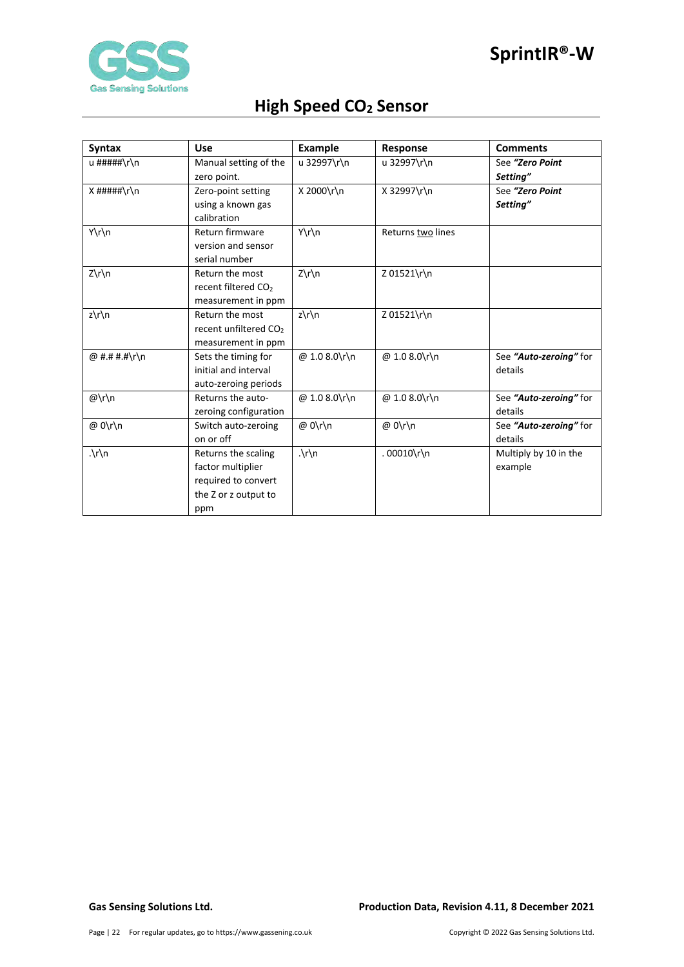

| <b>Syntax</b> | <b>Use</b>                        | <b>Example</b>          | Response          | <b>Comments</b>        |
|---------------|-----------------------------------|-------------------------|-------------------|------------------------|
| u #####\r\n   | Manual setting of the             | u 32997\r\n             | u 32997\r\n       | See "Zero Point        |
|               | zero point.                       |                         |                   | Setting"               |
| $X$ #####\r\n | Zero-point setting                | X 2000\r\n              | X 32997\r\n       | See "Zero Point        |
|               | using a known gas                 |                         |                   | Setting"               |
|               | calibration                       |                         |                   |                        |
| Y\r\n         | Return firmware                   | Y\r\n                   | Returns two lines |                        |
|               | version and sensor                |                         |                   |                        |
|               | serial number                     |                         |                   |                        |
| Z\r\n         | Return the most                   | $Z\r\ln$                | Z 01521\r\n       |                        |
|               | recent filtered CO <sub>2</sub>   |                         |                   |                        |
|               | measurement in ppm                |                         |                   |                        |
| z\r\n         | Return the most                   | $z\prime\prime\prime$ n | Z 01521\r\n       |                        |
|               | recent unfiltered CO <sub>2</sub> |                         |                   |                        |
|               | measurement in ppm                |                         |                   |                        |
| @ #.# #.#\r\n | Sets the timing for               | @ 1.0 8.0\r\n           | @ 1.0 8.0\r\n     | See "Auto-zeroing" for |
|               | initial and interval              |                         |                   | details                |
|               | auto-zeroing periods              |                         |                   |                        |
| @\r\n         | Returns the auto-                 | @ 1.0 8.0\r\n           | @ 1.0 8.0\r\n     | See "Auto-zeroing" for |
|               | zeroing configuration             |                         |                   | details                |
| @ 0\r\n       | Switch auto-zeroing               | @ 0\r\n                 | @ 0\r\n           | See "Auto-zeroing" for |
|               | on or off                         |                         |                   | details                |
| $\cdot \ln$   | Returns the scaling               | $\cdot \ln$             | .00010\r\n        | Multiply by 10 in the  |
|               | factor multiplier                 |                         |                   | example                |
|               | required to convert               |                         |                   |                        |
|               | the Z or z output to              |                         |                   |                        |
|               | ppm                               |                         |                   |                        |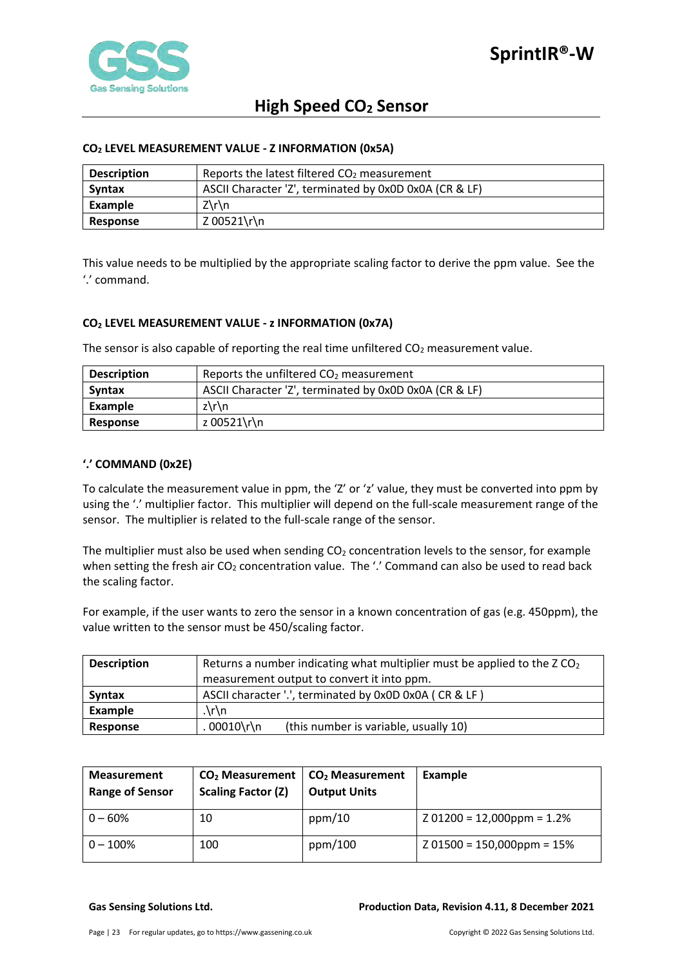

#### <span id="page-22-0"></span>**CO2 LEVEL MEASUREMENT VALUE - Z INFORMATION (0x5A)**

| <b>Description</b> | Reports the latest filtered $CO2$ measurement          |
|--------------------|--------------------------------------------------------|
| <b>Syntax</b>      | ASCII Character 'Z', terminated by 0x0D 0x0A (CR & LF) |
| Example            | $Z\Gamma$                                              |
| <b>Response</b>    | Z 00521\r\n                                            |

This value needs to be multiplied by the appropriate scaling factor to derive the ppm value. See the '.' command.

### <span id="page-22-1"></span>**CO2 LEVEL MEASUREMENT VALUE - z INFORMATION (0x7A)**

The sensor is also capable of reporting the real time unfiltered  $CO<sub>2</sub>$  measurement value.

| <b>Description</b> | Reports the unfiltered $CO2$ measurement               |  |  |  |
|--------------------|--------------------------------------------------------|--|--|--|
| <b>Syntax</b>      | ASCII Character 'Z', terminated by 0x0D 0x0A (CR & LF) |  |  |  |
| Example            | z\r\n                                                  |  |  |  |
| Response           | z 00521\r\n                                            |  |  |  |

#### <span id="page-22-2"></span>**'.' COMMAND (0x2E)**

To calculate the measurement value in ppm, the 'Z' or 'z' value, they must be converted into ppm by using the '.' multiplier factor. This multiplier will depend on the full-scale measurement range of the sensor. The multiplier is related to the full-scale range of the sensor.

The multiplier must also be used when sending  $CO<sub>2</sub>$  concentration levels to the sensor, for example when setting the fresh air  $CO_2$  concentration value. The '.' Command can also be used to read back the scaling factor.

For example, if the user wants to zero the sensor in a known concentration of gas (e.g. 450ppm), the value written to the sensor must be 450/scaling factor.

| <b>Description</b> | Returns a number indicating what multiplier must be applied to the ZCO <sub>2</sub> |  |  |  |  |
|--------------------|-------------------------------------------------------------------------------------|--|--|--|--|
|                    | measurement output to convert it into ppm.                                          |  |  |  |  |
| <b>Syntax</b>      | ASCII character '.', terminated by 0x0D 0x0A (CR & LF)                              |  |  |  |  |
| Example            | $\cdot \int r \, dr$                                                                |  |  |  |  |
| <b>Response</b>    | 00010\r\n<br>(this number is variable, usually 10)                                  |  |  |  |  |

| <b>Measurement</b><br><b>Range of Sensor</b> | CO <sub>2</sub> Measurement<br><b>Scaling Factor (Z)</b> | CO <sub>2</sub> Measurement<br><b>Output Units</b> | Example                      |
|----------------------------------------------|----------------------------------------------------------|----------------------------------------------------|------------------------------|
| $0 - 60%$                                    | 10                                                       | ppm/10                                             | $201200 = 12,000$ ppm = 1.2% |
| $0 - 100\%$                                  | 100                                                      | ppm/100                                            | $Z$ 01500 = 150,000ppm = 15% |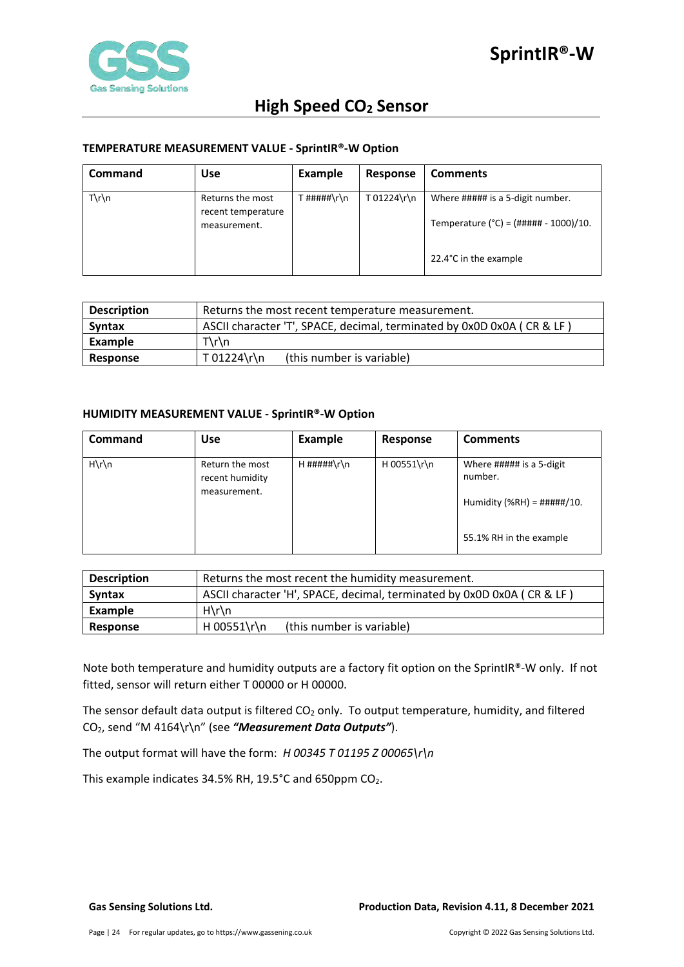

### <span id="page-23-0"></span>**TEMPERATURE MEASUREMENT VALUE - SprintIR®-W Option**

| <b>Command</b>  | <b>Use</b>                                             | <b>Example</b>         | Response    | <b>Comments</b>                                                                                                |
|-----------------|--------------------------------------------------------|------------------------|-------------|----------------------------------------------------------------------------------------------------------------|
| $T\rrbraket{n}$ | Returns the most<br>recent temperature<br>measurement. | <sup>-</sup> #####\r\n | T 01224\r\n | Where ##### is a 5-digit number.<br>Temperature (°C) = $(\# \# \# \# \# - 1000)/10$ .<br>22.4°C in the example |

| <b>Description</b> | Returns the most recent temperature measurement.                       |  |  |  |
|--------------------|------------------------------------------------------------------------|--|--|--|
| <b>Syntax</b>      | ASCII character 'T', SPACE, decimal, terminated by 0x0D 0x0A (CR & LF) |  |  |  |
| Example            | $T\rrbraket{n}$                                                        |  |  |  |
| Response           | T 01224\r\n<br>(this number is variable)                               |  |  |  |

#### <span id="page-23-1"></span>**HUMIDITY MEASUREMENT VALUE - SprintIR®-W Option**

| <b>Command</b>  | <b>Use</b>                                         | <b>Example</b> | Response    | <b>Comments</b>                                                                                         |
|-----------------|----------------------------------------------------|----------------|-------------|---------------------------------------------------------------------------------------------------------|
| $H\rrbraket{n}$ | Return the most<br>recent humidity<br>measurement. | $H$ #####\r\n  | H 00551\r\n | Where ##### is a 5-digit<br>number.<br>Humidity (%RH) = $\# \# \# \# / 10$ .<br>55.1% RH in the example |

| <b>Description</b> | Returns the most recent the humidity measurement.                      |  |  |  |
|--------------------|------------------------------------------------------------------------|--|--|--|
| Syntax             | ASCII character 'H', SPACE, decimal, terminated by 0x0D 0x0A (CR & LF) |  |  |  |
| Example            | $H\rrbracket$ n                                                        |  |  |  |
| Response           | H 00551\r\n<br>(this number is variable)                               |  |  |  |

Note both temperature and humidity outputs are a factory fit option on the SprintIR®-W only. If not fitted, sensor will return either T 00000 or H 00000.

The sensor default data output is filtered  $CO<sub>2</sub>$  only. To output temperature, humidity, and filtered CO2, send "M 4164\r\n" (see *"Measurement Data Outputs"*).

The output format will have the form: *H 00345 T 01195 Z 00065\r\n* 

This example indicates 34.5% RH, 19.5 $^{\circ}$ C and 650ppm CO<sub>2</sub>.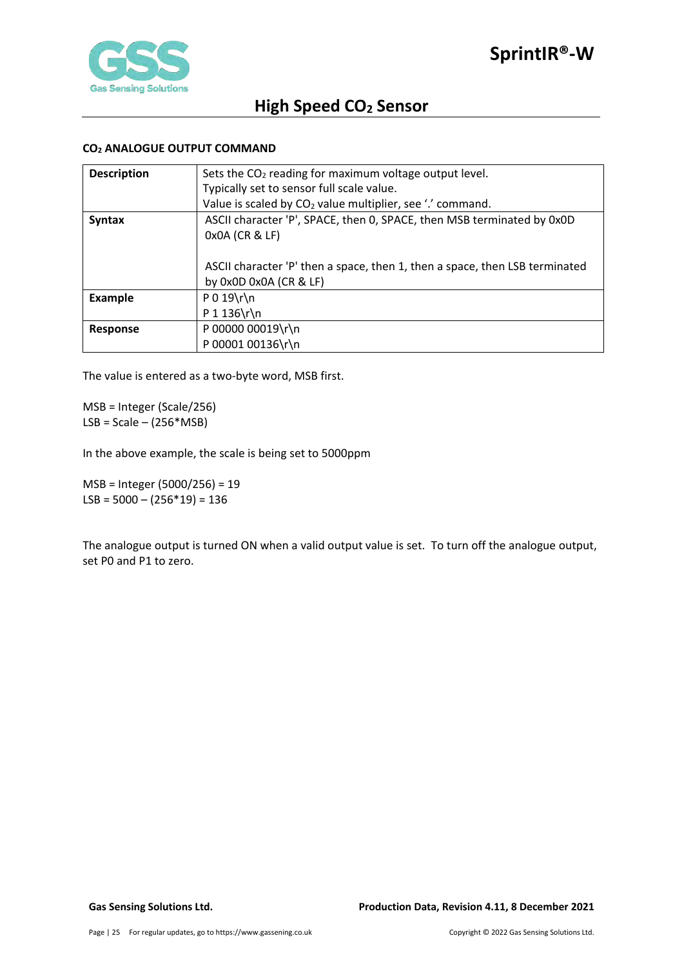

### <span id="page-24-0"></span>**CO2 ANALOGUE OUTPUT COMMAND**

| <b>Description</b> | Sets the $CO2$ reading for maximum voltage output level.                    |  |  |  |  |
|--------------------|-----------------------------------------------------------------------------|--|--|--|--|
|                    | Typically set to sensor full scale value.                                   |  |  |  |  |
|                    | Value is scaled by CO <sub>2</sub> value multiplier, see '.' command.       |  |  |  |  |
| <b>Syntax</b>      | ASCII character 'P', SPACE, then 0, SPACE, then MSB terminated by 0x0D      |  |  |  |  |
|                    | 0x0A (CR & LF)                                                              |  |  |  |  |
|                    |                                                                             |  |  |  |  |
|                    | ASCII character 'P' then a space, then 1, then a space, then LSB terminated |  |  |  |  |
|                    | by $0x0D$ $0x0A$ $(CR & E)$                                                 |  |  |  |  |
| <b>Example</b>     | $P 0 19 \rln$                                                               |  |  |  |  |
|                    | $P 1 136 \r \ln$                                                            |  |  |  |  |
| <b>Response</b>    | P 00000 00019\r\n                                                           |  |  |  |  |
|                    | P 00001 00136\r\n                                                           |  |  |  |  |

The value is entered as a two-byte word, MSB first.

MSB = Integer (Scale/256)  $LSB = Scale - (256*MSB)$ 

In the above example, the scale is being set to 5000ppm

MSB = Integer (5000/256) = 19 LSB =  $5000 - (256*19) = 136$ 

The analogue output is turned ON when a valid output value is set. To turn off the analogue output, set P0 and P1 to zero.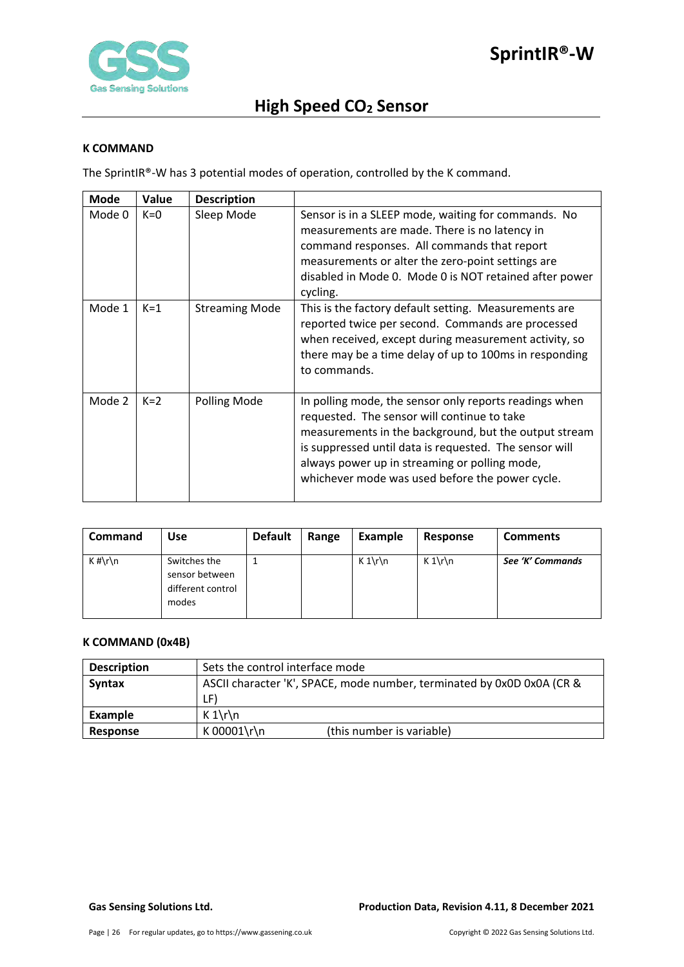

#### <span id="page-25-0"></span>**K COMMAND**

The SprintIR®-W has 3 potential modes of operation, controlled by the K command.

| <b>Mode</b> | Value | <b>Description</b>    |                                                                                                                                                                                                                                                                                                                              |
|-------------|-------|-----------------------|------------------------------------------------------------------------------------------------------------------------------------------------------------------------------------------------------------------------------------------------------------------------------------------------------------------------------|
| Mode 0      | $K=0$ | Sleep Mode            | Sensor is in a SLEEP mode, waiting for commands. No<br>measurements are made. There is no latency in<br>command responses. All commands that report<br>measurements or alter the zero-point settings are<br>disabled in Mode 0. Mode 0 is NOT retained after power<br>cycling.                                               |
| Mode 1      | $K=1$ | <b>Streaming Mode</b> | This is the factory default setting. Measurements are<br>reported twice per second. Commands are processed<br>when received, except during measurement activity, so<br>there may be a time delay of up to 100ms in responding<br>to commands.                                                                                |
| Mode 2      | $K=2$ | Polling Mode          | In polling mode, the sensor only reports readings when<br>requested. The sensor will continue to take<br>measurements in the background, but the output stream<br>is suppressed until data is requested. The sensor will<br>always power up in streaming or polling mode,<br>whichever mode was used before the power cycle. |

| <b>Command</b> | Use                                                          | <b>Default</b> | Range | Example | Response | <b>Comments</b>  |
|----------------|--------------------------------------------------------------|----------------|-------|---------|----------|------------------|
| $K \# \r \n$   | Switches the<br>sensor between<br>different control<br>modes |                |       | $K 1\$  | $K 1\$   | See 'K' Commands |

### <span id="page-25-1"></span>**K COMMAND (0x4B)**

| <b>Description</b> | Sets the control interface mode                                        |  |  |
|--------------------|------------------------------------------------------------------------|--|--|
| Syntax             | ASCII character 'K', SPACE, mode number, terminated by 0x0D 0x0A (CR & |  |  |
|                    | LF)                                                                    |  |  |
| Example            | $K 1\$                                                                 |  |  |
| Response           | K 00001\r\n<br>(this number is variable)                               |  |  |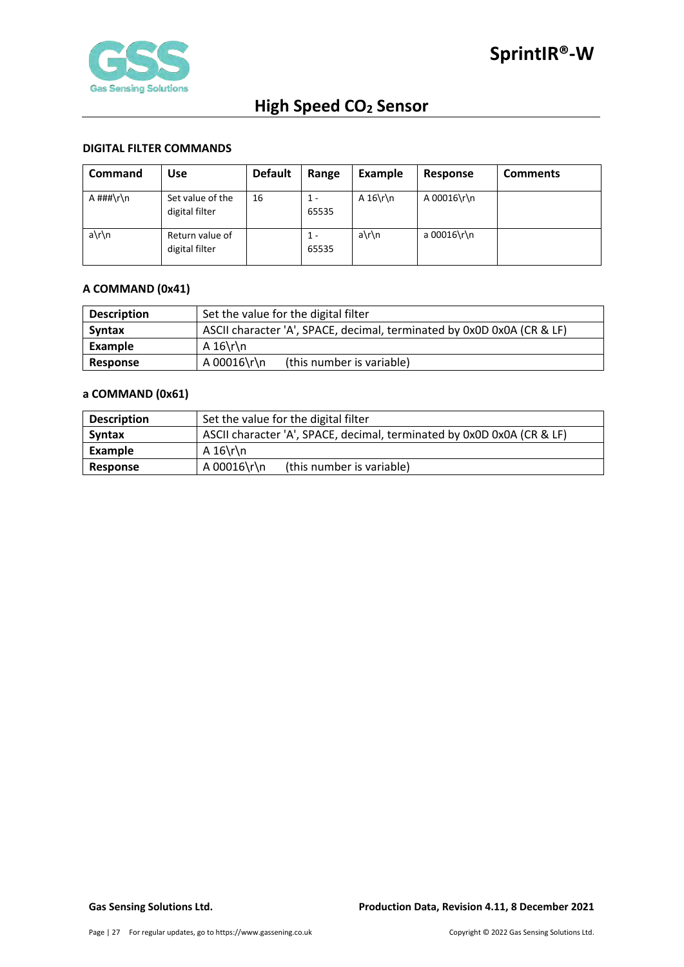

#### <span id="page-26-0"></span>**DIGITAL FILTER COMMANDS**

| <b>Command</b> | Use                                | <b>Default</b> | Range        | Example   | Response    | <b>Comments</b> |
|----------------|------------------------------------|----------------|--------------|-----------|-------------|-----------------|
| A ###\r\n      | Set value of the<br>digital filter | 16             | 1 -<br>65535 | A $16\$ n | A 00016\r\n |                 |
| a\r\n          | Return value of<br>digital filter  |                | 1 -<br>65535 | a\r\n     | a 00016\r\n |                 |

### <span id="page-26-1"></span>**A COMMAND (0x41)**

| <b>Description</b> | Set the value for the digital filter                                   |  |  |  |
|--------------------|------------------------------------------------------------------------|--|--|--|
| <b>Syntax</b>      | ASCII character 'A', SPACE, decimal, terminated by 0x0D 0x0A (CR & LF) |  |  |  |
| Example            | A $16\$ r\n                                                            |  |  |  |
| Response           | A 00016\r\n<br>(this number is variable)                               |  |  |  |

### <span id="page-26-2"></span>**a COMMAND (0x61)**

| <b>Description</b> | Set the value for the digital filter                                   |  |  |  |
|--------------------|------------------------------------------------------------------------|--|--|--|
| <b>Syntax</b>      | ASCII character 'A', SPACE, decimal, terminated by 0x0D 0x0A (CR & LF) |  |  |  |
| Example            | A $16\$ r\n                                                            |  |  |  |
| Response           | A 00016\r\n<br>(this number is variable)                               |  |  |  |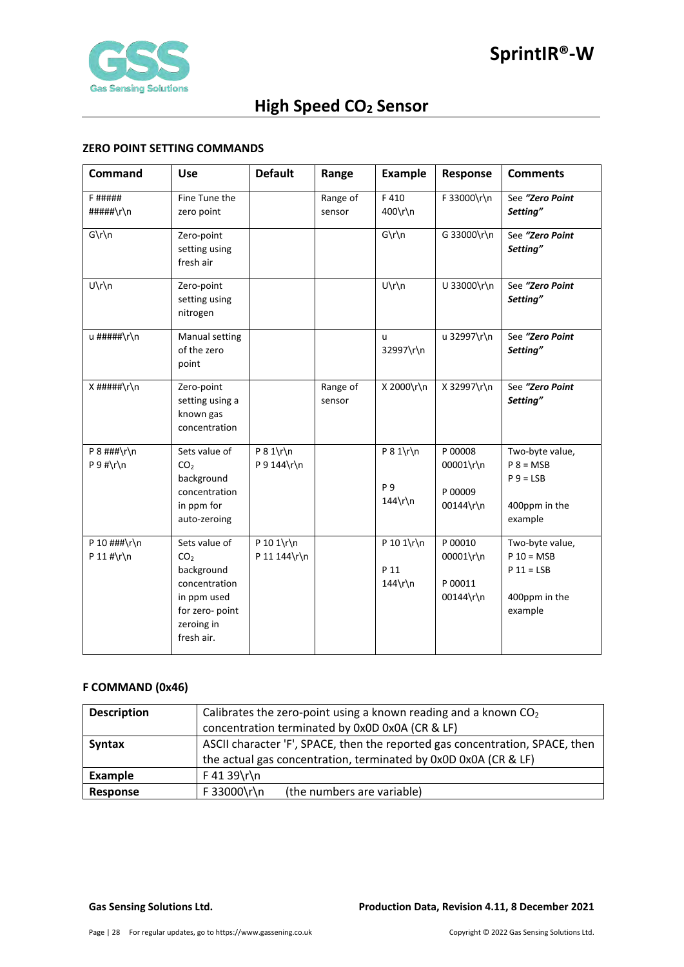

### <span id="page-27-0"></span>**ZERO POINT SETTING COMMANDS**

| <b>Command</b>                    | <b>Use</b>                                                                                                                    | <b>Default</b>             | Range              | <b>Example</b>                               | Response                                     | <b>Comments</b>                                                             |
|-----------------------------------|-------------------------------------------------------------------------------------------------------------------------------|----------------------------|--------------------|----------------------------------------------|----------------------------------------------|-----------------------------------------------------------------------------|
| <b>F#####</b><br>#####\r\n        | Fine Tune the<br>zero point                                                                                                   |                            | Range of<br>sensor | F410<br>400\r\n                              | F 33000\r\n                                  | See "Zero Point<br>Setting"                                                 |
| $G\r\ln$                          | Zero-point<br>setting using<br>fresh air                                                                                      |                            |                    | $G\r\ln$                                     | G 33000\r\n                                  | See "Zero Point<br>Setting"                                                 |
| $U\r\ln$                          | Zero-point<br>setting using<br>nitrogen                                                                                       |                            |                    | $U\r\ln$                                     | U 33000\r\n                                  | See "Zero Point<br>Setting"                                                 |
| u #####\r\n                       | Manual setting<br>of the zero<br>point                                                                                        |                            |                    | $\mathbf{u}$<br>32997\r\n                    | u 32997\r\n                                  | See "Zero Point<br>Setting"                                                 |
| $X$ #####\r\n                     | Zero-point<br>setting using a<br>known gas<br>concentration                                                                   |                            | Range of<br>sensor | X 2000\r\n                                   | X 32997\r\n                                  | See "Zero Point<br>Setting"                                                 |
| $P 8$ ###\r\n<br>$P 9 # \r \n$    | Sets value of<br>CO <sub>2</sub><br>background<br>concentration<br>in ppm for<br>auto-zeroing                                 | $P 8 1\$<br>P 9 144\r\n    |                    | $P 8 1\$ r\n<br><b>P</b> 9<br>$144\hbox{rh}$ | P 00008<br>00001\r\n<br>P 00009<br>00144\r\n | Two-byte value,<br>$P 8 = MSB$<br>$P 9 = LSB$<br>400ppm in the<br>example   |
| P 10 $\#$ # $\r \n$<br>P 11 #\r\n | Sets value of<br>CO <sub>2</sub><br>background<br>concentration<br>in ppm used<br>for zero- point<br>zeroing in<br>fresh air. | P 10 1\r\n<br>P 11 144\r\n |                    | P 10 1\r\n<br>P 11<br>$144\$ r\n             | P 00010<br>00001\r\n<br>P 00011<br>00144\r\n | Two-byte value,<br>$P 10 = MSB$<br>$P 11 = LSB$<br>400ppm in the<br>example |

### <span id="page-27-1"></span>**F COMMAND (0x46)**

| <b>Description</b> | Calibrates the zero-point using a known reading and a known $CO2$            |  |  |  |  |
|--------------------|------------------------------------------------------------------------------|--|--|--|--|
|                    | concentration terminated by 0x0D 0x0A (CR & LF)                              |  |  |  |  |
| <b>Syntax</b>      | ASCII character 'F', SPACE, then the reported gas concentration, SPACE, then |  |  |  |  |
|                    | the actual gas concentration, terminated by 0x0D 0x0A (CR & LF)              |  |  |  |  |
| Example            | $F$ 41 39\r\n                                                                |  |  |  |  |
| Response           | F 33000\r\n<br>(the numbers are variable)                                    |  |  |  |  |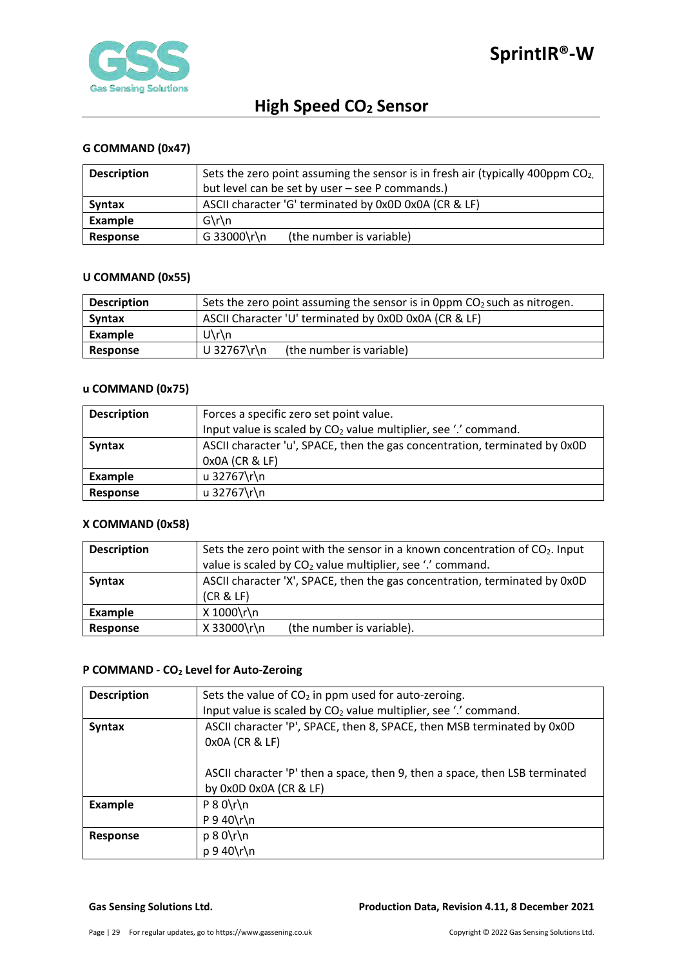

## <span id="page-28-0"></span>**G COMMAND (0x47)**

| <b>Description</b> | Sets the zero point assuming the sensor is in fresh air (typically 400ppm $CO2$ ). |  |  |  |
|--------------------|------------------------------------------------------------------------------------|--|--|--|
|                    | but level can be set by user - see P commands.)                                    |  |  |  |
| <b>Syntax</b>      | ASCII character 'G' terminated by 0x0D 0x0A (CR & LF)                              |  |  |  |
| Example            | $G\$ n                                                                             |  |  |  |
| Response           | G 33000\r\n<br>(the number is variable)                                            |  |  |  |

#### <span id="page-28-1"></span>**U COMMAND (0x55)**

| <b>Description</b> | Sets the zero point assuming the sensor is in 0ppm $CO2$ such as nitrogen. |  |  |  |
|--------------------|----------------------------------------------------------------------------|--|--|--|
| <b>Syntax</b>      | ASCII Character 'U' terminated by 0x0D 0x0A (CR & LF)                      |  |  |  |
| Example            | $U\$ n                                                                     |  |  |  |
| <b>Response</b>    | U 32767\r\n<br>(the number is variable)                                    |  |  |  |

## <span id="page-28-2"></span>**u COMMAND (0x75)**

| <b>Description</b> | Forces a specific zero set point value.                                     |  |  |
|--------------------|-----------------------------------------------------------------------------|--|--|
|                    | Input value is scaled by CO <sub>2</sub> value multiplier, see '.' command. |  |  |
| <b>Syntax</b>      | ASCII character 'u', SPACE, then the gas concentration, terminated by 0x0D  |  |  |
|                    | 0x0A (CR & LF)                                                              |  |  |
| Example            | u 32767\r\n                                                                 |  |  |
| Response           | u 32767\r\n                                                                 |  |  |

### <span id="page-28-3"></span>**X COMMAND (0x58)**

| <b>Description</b> | Sets the zero point with the sensor in a known concentration of CO <sub>2</sub> . Input<br>value is scaled by CO <sub>2</sub> value multiplier, see '.' command. |  |  |  |
|--------------------|------------------------------------------------------------------------------------------------------------------------------------------------------------------|--|--|--|
| <b>Syntax</b>      | ASCII character 'X', SPACE, then the gas concentration, terminated by 0x0D<br>(CR & LF)                                                                          |  |  |  |
| Example            | X 1000\r\n                                                                                                                                                       |  |  |  |
| Response           | X 33000\r\n<br>(the number is variable).                                                                                                                         |  |  |  |

#### <span id="page-28-4"></span>**P COMMAND - CO2 Level for Auto-Zeroing**

| <b>Description</b> | Sets the value of $CO2$ in ppm used for auto-zeroing.                                                 |  |  |
|--------------------|-------------------------------------------------------------------------------------------------------|--|--|
|                    | Input value is scaled by CO <sub>2</sub> value multiplier, see '.' command.                           |  |  |
| <b>Syntax</b>      | ASCII character 'P', SPACE, then 8, SPACE, then MSB terminated by 0x0D                                |  |  |
|                    | 0x0A (CR & LF)                                                                                        |  |  |
|                    | ASCII character 'P' then a space, then 9, then a space, then LSB terminated<br>by 0x0D 0x0A (CR & LF) |  |  |
| <b>Example</b>     | $P 8 0 \rightharpoonup n$                                                                             |  |  |
|                    | $P$ 9 40\r\n                                                                                          |  |  |
| <b>Response</b>    | $p 8 0 \rln$                                                                                          |  |  |
|                    | $p 9 40 \rln$                                                                                         |  |  |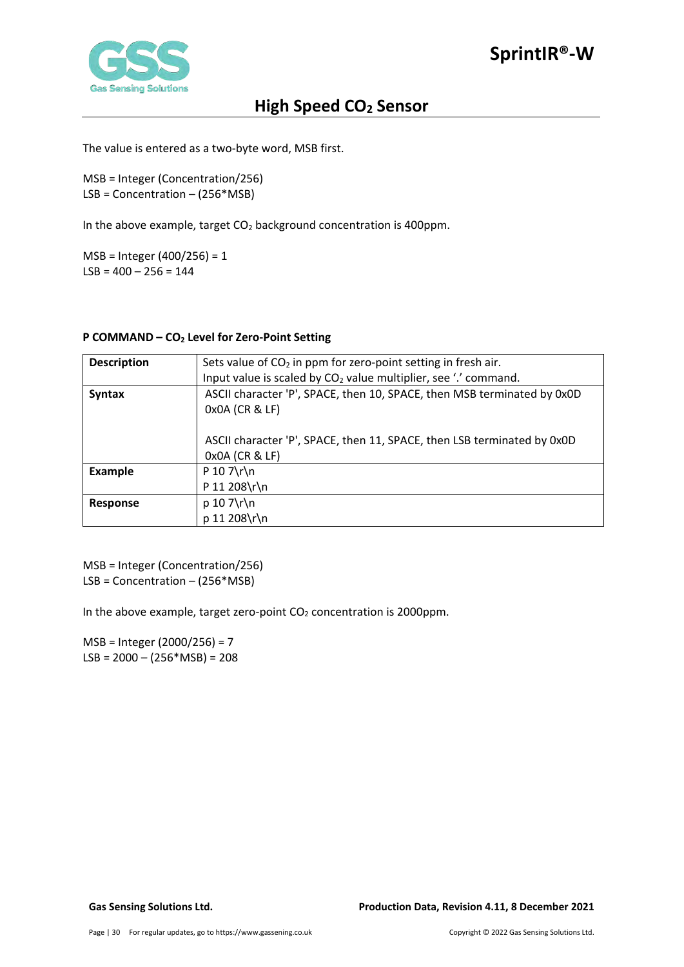

The value is entered as a two-byte word, MSB first.

MSB = Integer (Concentration/256) LSB = Concentration – (256\*MSB)

In the above example, target  $CO<sub>2</sub>$  background concentration is 400ppm.

MSB = Integer (400/256) = 1  $LSB = 400 - 256 = 144$ 

#### <span id="page-29-0"></span>**P COMMAND – CO2 Level for Zero-Point Setting**

| <b>Description</b> | Sets value of $CO2$ in ppm for zero-point setting in fresh air.                           |  |  |  |
|--------------------|-------------------------------------------------------------------------------------------|--|--|--|
|                    | Input value is scaled by $CO2$ value multiplier, see '.' command.                         |  |  |  |
| <b>Syntax</b>      | ASCII character 'P', SPACE, then 10, SPACE, then MSB terminated by 0x0D<br>0x0A (CR & LF) |  |  |  |
|                    | ASCII character 'P', SPACE, then 11, SPACE, then LSB terminated by 0x0D<br>0x0A (CR & LF) |  |  |  |
| <b>Example</b>     | $P 10 7\$ r\                                                                              |  |  |  |
|                    | P 11 208\r\n                                                                              |  |  |  |
| <b>Response</b>    | $p 10 7\$ r $\n$                                                                          |  |  |  |
|                    | p 11 208\r\n                                                                              |  |  |  |

MSB = Integer (Concentration/256) LSB = Concentration – (256\*MSB)

In the above example, target zero-point  $CO<sub>2</sub>$  concentration is 2000ppm.

MSB = Integer (2000/256) = 7  $LSB = 2000 - (256 * MSB) = 208$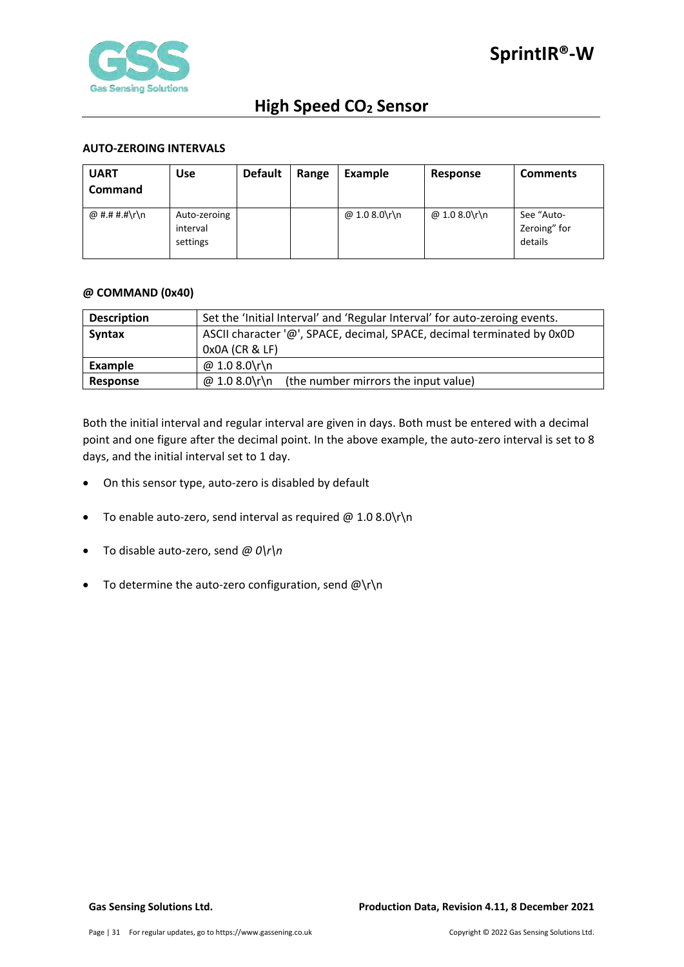

#### <span id="page-30-0"></span>**AUTO-ZEROING INTERVALS**

| <b>UART</b><br><b>Command</b> | <b>Use</b>                           | <b>Default</b> | Range | Example       | Response      | <b>Comments</b>                       |
|-------------------------------|--------------------------------------|----------------|-------|---------------|---------------|---------------------------------------|
| @ #.# #.#\r\n                 | Auto-zeroing<br>interval<br>settings |                |       | @ 1.0 8.0\r\n | @ 1.0 8.0\r\n | See "Auto-<br>Zeroing" for<br>details |

#### <span id="page-30-1"></span>**@ COMMAND (0x40)**

| <b>Description</b> | Set the 'Initial Interval' and 'Regular Interval' for auto-zeroing events. |  |  |  |
|--------------------|----------------------------------------------------------------------------|--|--|--|
| <b>Syntax</b>      | ASCII character '@', SPACE, decimal, SPACE, decimal terminated by 0x0D     |  |  |  |
|                    | $0x0A$ (CR & LF)                                                           |  |  |  |
| Example            | @ 1.0 8.0\r\n                                                              |  |  |  |
| <b>Response</b>    | @ 1.0 8.0\r\n<br>(the number mirrors the input value)                      |  |  |  |

Both the initial interval and regular interval are given in days. Both must be entered with a decimal point and one figure after the decimal point. In the above example, the auto-zero interval is set to 8 days, and the initial interval set to 1 day.

- On this sensor type, auto-zero is disabled by default
- To enable auto-zero, send interval as required  $@1.08.0\$ r $\n\$ n
- To disable auto-zero, send *@ 0\r\n*
- To determine the auto-zero configuration, send  $@{\rceil}$ n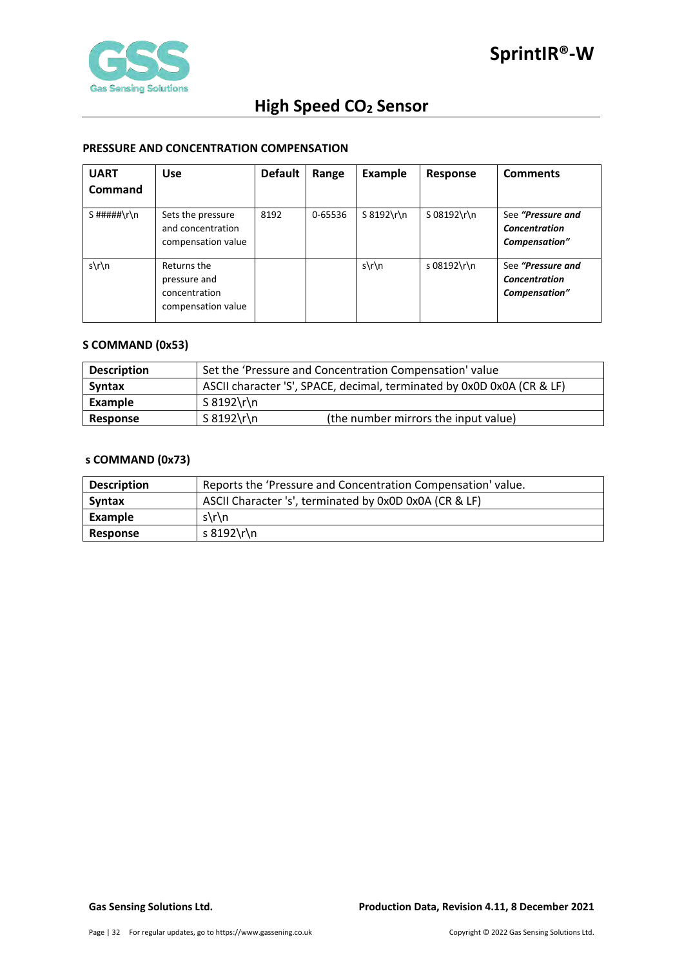

#### <span id="page-31-0"></span>**PRESSURE AND CONCENTRATION COMPENSATION**

| <b>UART</b>   | <b>Use</b>                                                         | <b>Default</b> | Range   | Example       | Response    | <b>Comments</b>                                            |
|---------------|--------------------------------------------------------------------|----------------|---------|---------------|-------------|------------------------------------------------------------|
| Command       |                                                                    |                |         |               |             |                                                            |
| $S$ #####\r\n | Sets the pressure<br>and concentration<br>compensation value       | 8192           | 0-65536 | $S 8192\$ r\n | S 08192\r\n | See "Pressure and<br><b>Concentration</b><br>Compensation" |
| $s\$ n        | Returns the<br>pressure and<br>concentration<br>compensation value |                |         | $s\$ n        | s 08192\r\n | See "Pressure and<br><b>Concentration</b><br>Compensation" |

#### <span id="page-31-1"></span>**S COMMAND (0x53)**

| <b>Description</b> | Set the 'Pressure and Concentration Compensation' value                |  |  |
|--------------------|------------------------------------------------------------------------|--|--|
| Syntax             | ASCII character 'S', SPACE, decimal, terminated by 0x0D 0x0A (CR & LF) |  |  |
| Example            | S 8192\r\n                                                             |  |  |
| Response           | $S 8192 \rln$<br>(the number mirrors the input value)                  |  |  |

## <span id="page-31-2"></span>**s COMMAND (0x73)**

| <b>Description</b> | Reports the 'Pressure and Concentration Compensation' value. |
|--------------------|--------------------------------------------------------------|
| <b>Syntax</b>      | ASCII Character 's', terminated by 0x0D 0x0A (CR & LF)       |
| Example            | $s\$ n                                                       |
| <b>Response</b>    | s 8192\r\n                                                   |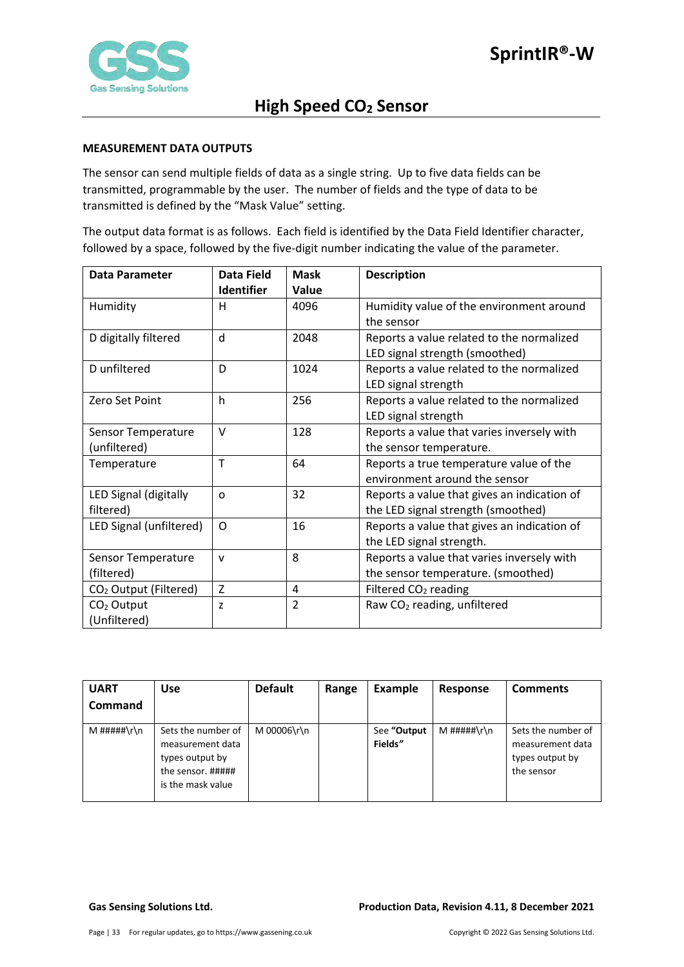

#### <span id="page-32-0"></span>**MEASUREMENT DATA OUTPUTS**

The sensor can send multiple fields of data as a single string. Up to five data fields can be transmitted, programmable by the user. The number of fields and the type of data to be transmitted is defined by the "Mask Value" setting.

The output data format is as follows. Each field is identified by the Data Field Identifier character, followed by a space, followed by the five-digit number indicating the value of the parameter.

| <b>Data Parameter</b>             | Data Field        | <b>Mask</b>    | <b>Description</b>                          |
|-----------------------------------|-------------------|----------------|---------------------------------------------|
|                                   | <b>Identifier</b> | Value          |                                             |
| Humidity                          | н                 | 4096           | Humidity value of the environment around    |
|                                   |                   |                | the sensor                                  |
| D digitally filtered              | d                 | 2048           | Reports a value related to the normalized   |
|                                   |                   |                | LED signal strength (smoothed)              |
| D unfiltered                      | D                 | 1024           | Reports a value related to the normalized   |
|                                   |                   |                | LED signal strength                         |
| Zero Set Point                    | h                 | 256            | Reports a value related to the normalized   |
|                                   |                   |                | LED signal strength                         |
| Sensor Temperature                | $\vee$            | 128            | Reports a value that varies inversely with  |
| (unfiltered)                      |                   |                | the sensor temperature.                     |
| Temperature                       | T                 | 64             | Reports a true temperature value of the     |
|                                   |                   |                | environment around the sensor               |
| LED Signal (digitally             | $\Omega$          | 32             | Reports a value that gives an indication of |
| filtered)                         |                   |                | the LED signal strength (smoothed)          |
| LED Signal (unfiltered)           | O                 | 16             | Reports a value that gives an indication of |
|                                   |                   |                | the LED signal strength.                    |
| Sensor Temperature                | v                 | 8              | Reports a value that varies inversely with  |
| (filtered)                        |                   |                | the sensor temperature. (smoothed)          |
| CO <sub>2</sub> Output (Filtered) | Z                 | 4              | Filtered CO <sub>2</sub> reading            |
| $CO2$ Output                      | z                 | $\overline{2}$ | Raw CO <sub>2</sub> reading, unfiltered     |
| (Unfiltered)                      |                   |                |                                             |

| <b>UART</b><br>Command | <b>Use</b>                                                                                          | <b>Default</b> | Range | Example                | Response    | <b>Comments</b>                                                         |
|------------------------|-----------------------------------------------------------------------------------------------------|----------------|-------|------------------------|-------------|-------------------------------------------------------------------------|
| M #####\r\n            | Sets the number of<br>measurement data<br>types output by<br>the sensor. #####<br>is the mask value | M 00006\r\n    |       | See "Output<br>Fields" | M #####\r\n | Sets the number of<br>measurement data<br>types output by<br>the sensor |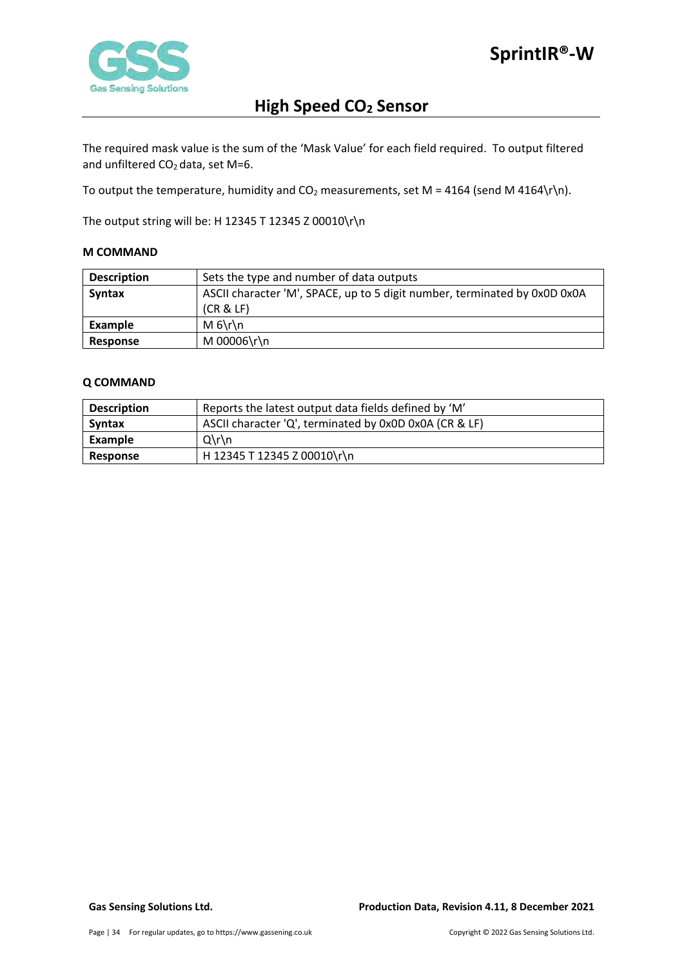

The required mask value is the sum of the 'Mask Value' for each field required. To output filtered and unfiltered  $CO<sub>2</sub>$  data, set M=6.

To output the temperature, humidity and  $CO<sub>2</sub>$  measurements, set M = 4164 (send M 4164\r\n).

The output string will be: H 12345 T 12345 Z 00010\r\n

#### <span id="page-33-0"></span>**M COMMAND**

| <b>Description</b> | Sets the type and number of data outputs                                  |  |  |  |
|--------------------|---------------------------------------------------------------------------|--|--|--|
| <b>Syntax</b>      | ASCII character 'M', SPACE, up to 5 digit number, terminated by 0x0D 0x0A |  |  |  |
|                    | (CR & E)                                                                  |  |  |  |
| Example            | $M_6\$                                                                    |  |  |  |
| Response           | M 00006\r\n                                                               |  |  |  |

#### <span id="page-33-1"></span>**Q COMMAND**

| <b>Description</b> | Reports the latest output data fields defined by 'M'   |
|--------------------|--------------------------------------------------------|
| <b>Syntax</b>      | ASCII character 'Q', terminated by 0x0D 0x0A (CR & LF) |
| Example            | $Q\Gamma$                                              |
| Response           | H 12345 T 12345 Z 00010\r\n                            |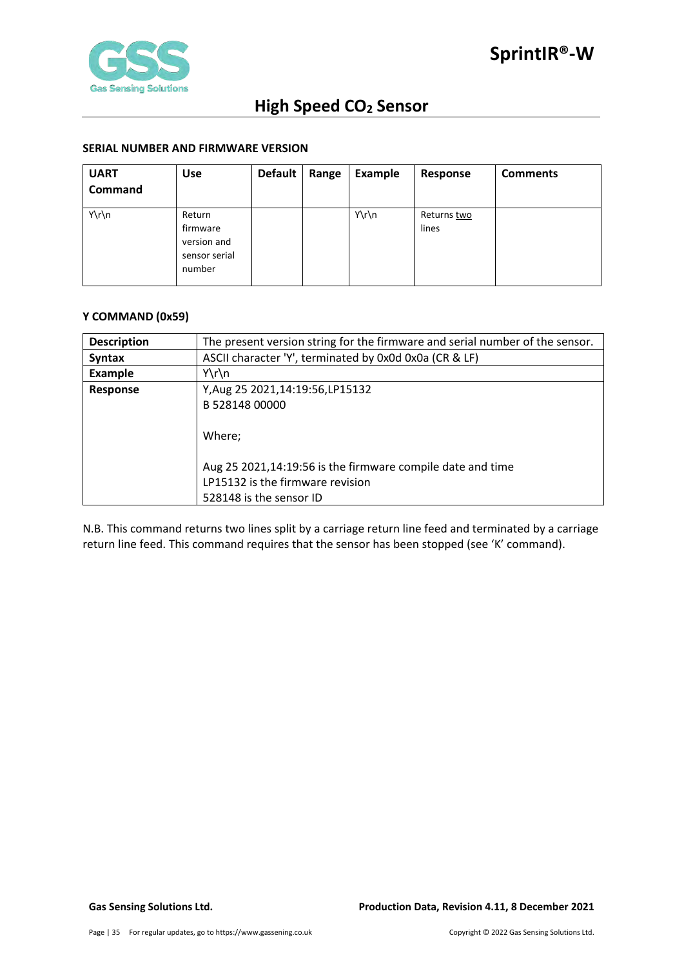#### <span id="page-34-0"></span>**SERIAL NUMBER AND FIRMWARE VERSION**

| <b>UART</b><br><b>Command</b> | <b>Use</b>                                                   | <b>Default</b> | Range | Example | Response             | <b>Comments</b> |
|-------------------------------|--------------------------------------------------------------|----------------|-------|---------|----------------------|-----------------|
| Y\r\n                         | Return<br>firmware<br>version and<br>sensor serial<br>number |                |       | Y\r\n   | Returns two<br>lines |                 |

#### <span id="page-34-1"></span>**Y COMMAND (0x59)**

| <b>Description</b> | The present version string for the firmware and serial number of the sensor. |  |  |  |  |  |  |
|--------------------|------------------------------------------------------------------------------|--|--|--|--|--|--|
| <b>Syntax</b>      | ASCII character 'Y', terminated by 0x0d 0x0a (CR & LF)                       |  |  |  |  |  |  |
| <b>Example</b>     | $Y\r\ln$                                                                     |  |  |  |  |  |  |
| <b>Response</b>    | Y, Aug 25 2021, 14: 19: 56, LP 15132                                         |  |  |  |  |  |  |
|                    | B 528148 00000                                                               |  |  |  |  |  |  |
|                    |                                                                              |  |  |  |  |  |  |
|                    | Where;                                                                       |  |  |  |  |  |  |
|                    |                                                                              |  |  |  |  |  |  |
|                    | Aug 25 2021,14:19:56 is the firmware compile date and time                   |  |  |  |  |  |  |
|                    | LP15132 is the firmware revision                                             |  |  |  |  |  |  |
|                    | 528148 is the sensor ID                                                      |  |  |  |  |  |  |

N.B. This command returns two lines split by a carriage return line feed and terminated by a carriage return line feed. This command requires that the sensor has been stopped (see 'K' command).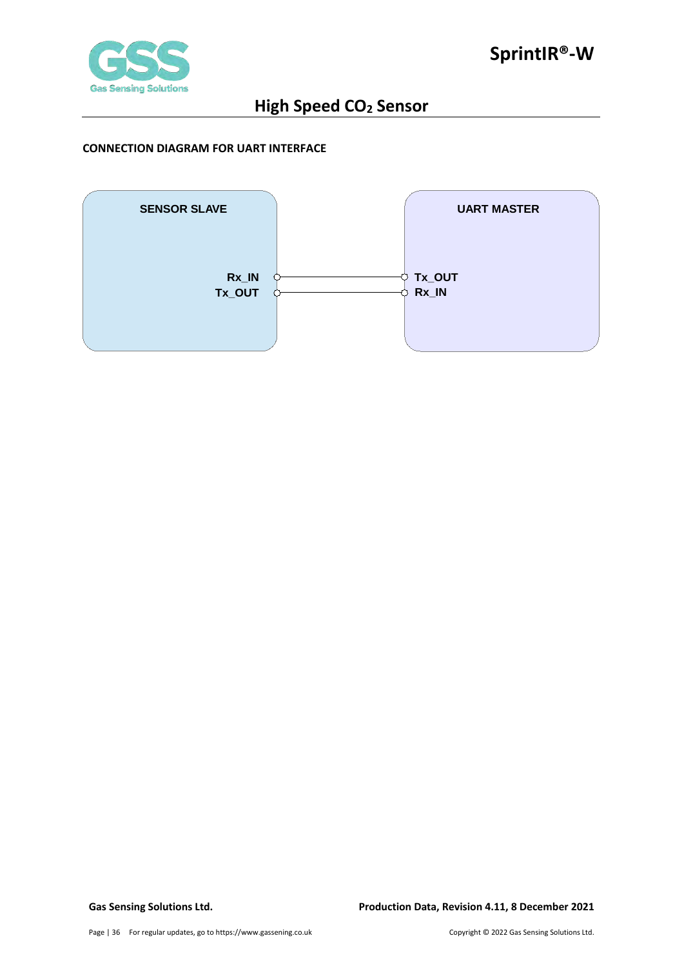

#### <span id="page-35-0"></span>**CONNECTION DIAGRAM FOR UART INTERFACE**

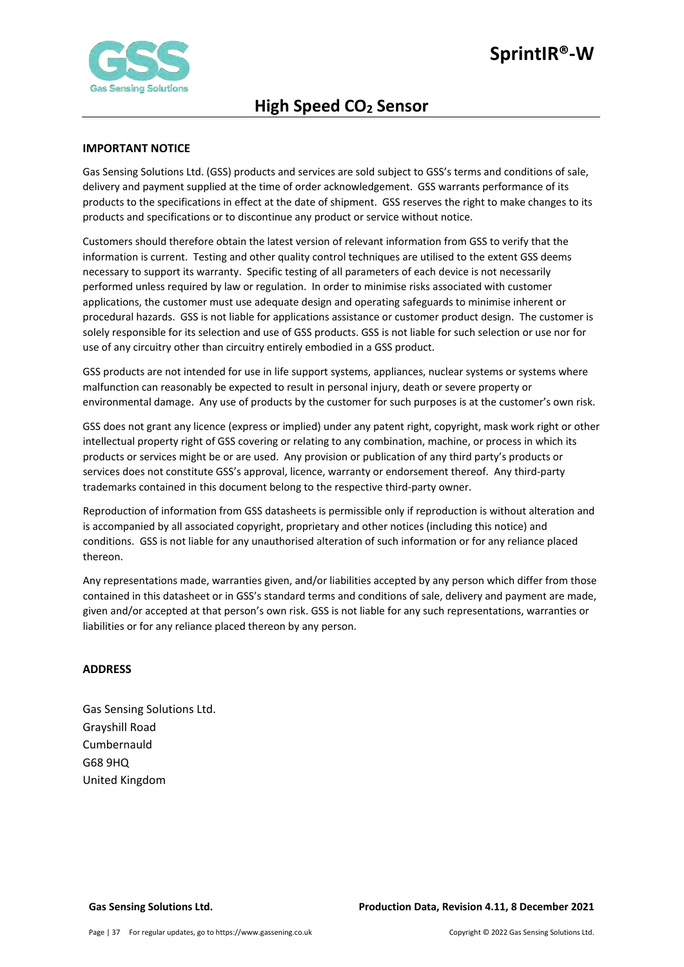

#### <span id="page-36-0"></span>**IMPORTANT NOTICE**

Gas Sensing Solutions Ltd. (GSS) products and services are sold subject to GSS's terms and conditions of sale, delivery and payment supplied at the time of order acknowledgement. GSS warrants performance of its products to the specifications in effect at the date of shipment. GSS reserves the right to make changes to its products and specifications or to discontinue any product or service without notice.

Customers should therefore obtain the latest version of relevant information from GSS to verify that the information is current. Testing and other quality control techniques are utilised to the extent GSS deems necessary to support its warranty. Specific testing of all parameters of each device is not necessarily performed unless required by law or regulation. In order to minimise risks associated with customer applications, the customer must use adequate design and operating safeguards to minimise inherent or procedural hazards. GSS is not liable for applications assistance or customer product design. The customer is solely responsible for its selection and use of GSS products. GSS is not liable for such selection or use nor for use of any circuitry other than circuitry entirely embodied in a GSS product.

GSS products are not intended for use in life support systems, appliances, nuclear systems or systems where malfunction can reasonably be expected to result in personal injury, death or severe property or environmental damage. Any use of products by the customer for such purposes is at the customer's own risk.

GSS does not grant any licence (express or implied) under any patent right, copyright, mask work right or other intellectual property right of GSS covering or relating to any combination, machine, or process in which its products or services might be or are used. Any provision or publication of any third party's products or services does not constitute GSS's approval, licence, warranty or endorsement thereof. Any third-party trademarks contained in this document belong to the respective third-party owner.

Reproduction of information from GSS datasheets is permissible only if reproduction is without alteration and is accompanied by all associated copyright, proprietary and other notices (including this notice) and conditions. GSS is not liable for any unauthorised alteration of such information or for any reliance placed thereon.

Any representations made, warranties given, and/or liabilities accepted by any person which differ from those contained in this datasheet or in GSS's standard terms and conditions of sale, delivery and payment are made, given and/or accepted at that person's own risk. GSS is not liable for any such representations, warranties or liabilities or for any reliance placed thereon by any person.

#### <span id="page-36-1"></span>**ADDRESS**

Gas Sensing Solutions Ltd. Grayshill Road Cumbernauld G68 9HQ United Kingdom